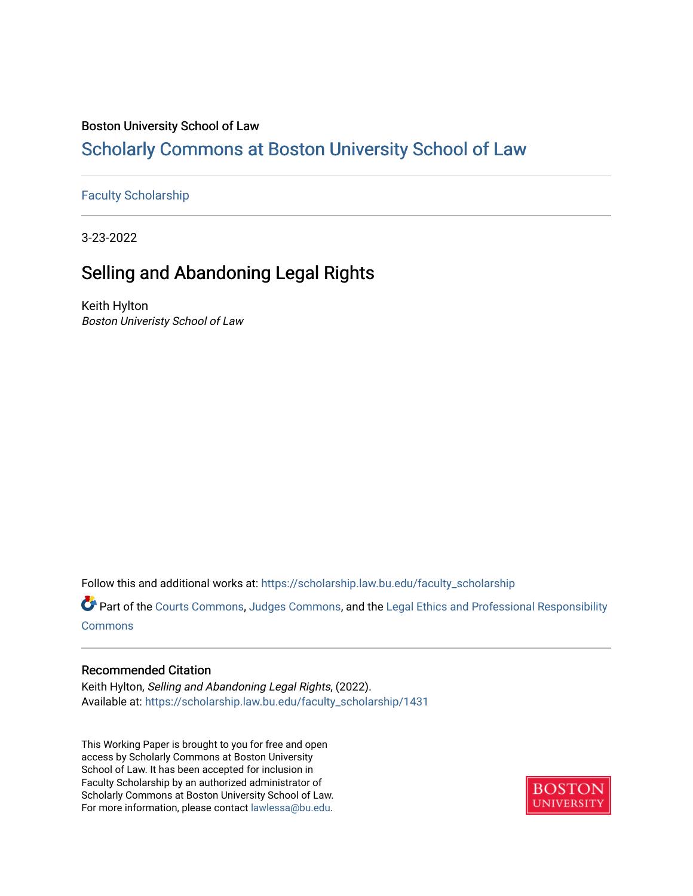#### Boston University School of Law

### [Scholarly Commons at Boston University School of Law](https://scholarship.law.bu.edu/)

#### [Faculty Scholarship](https://scholarship.law.bu.edu/faculty_scholarship)

3-23-2022

## Selling and Abandoning Legal Rights

Keith Hylton Boston Univeristy School of Law

Follow this and additional works at: [https://scholarship.law.bu.edu/faculty\\_scholarship](https://scholarship.law.bu.edu/faculty_scholarship?utm_source=scholarship.law.bu.edu%2Ffaculty_scholarship%2F1431&utm_medium=PDF&utm_campaign=PDFCoverPages)

Part of the [Courts Commons,](http://network.bepress.com/hgg/discipline/839?utm_source=scholarship.law.bu.edu%2Ffaculty_scholarship%2F1431&utm_medium=PDF&utm_campaign=PDFCoverPages) [Judges Commons](http://network.bepress.com/hgg/discipline/849?utm_source=scholarship.law.bu.edu%2Ffaculty_scholarship%2F1431&utm_medium=PDF&utm_campaign=PDFCoverPages), and the [Legal Ethics and Professional Responsibility](http://network.bepress.com/hgg/discipline/895?utm_source=scholarship.law.bu.edu%2Ffaculty_scholarship%2F1431&utm_medium=PDF&utm_campaign=PDFCoverPages)  [Commons](http://network.bepress.com/hgg/discipline/895?utm_source=scholarship.law.bu.edu%2Ffaculty_scholarship%2F1431&utm_medium=PDF&utm_campaign=PDFCoverPages)

#### Recommended Citation

Keith Hylton, Selling and Abandoning Legal Rights, (2022). Available at: [https://scholarship.law.bu.edu/faculty\\_scholarship/1431](https://scholarship.law.bu.edu/faculty_scholarship/1431?utm_source=scholarship.law.bu.edu%2Ffaculty_scholarship%2F1431&utm_medium=PDF&utm_campaign=PDFCoverPages)

This Working Paper is brought to you for free and open access by Scholarly Commons at Boston University School of Law. It has been accepted for inclusion in Faculty Scholarship by an authorized administrator of Scholarly Commons at Boston University School of Law. For more information, please contact [lawlessa@bu.edu](mailto:lawlessa@bu.edu).

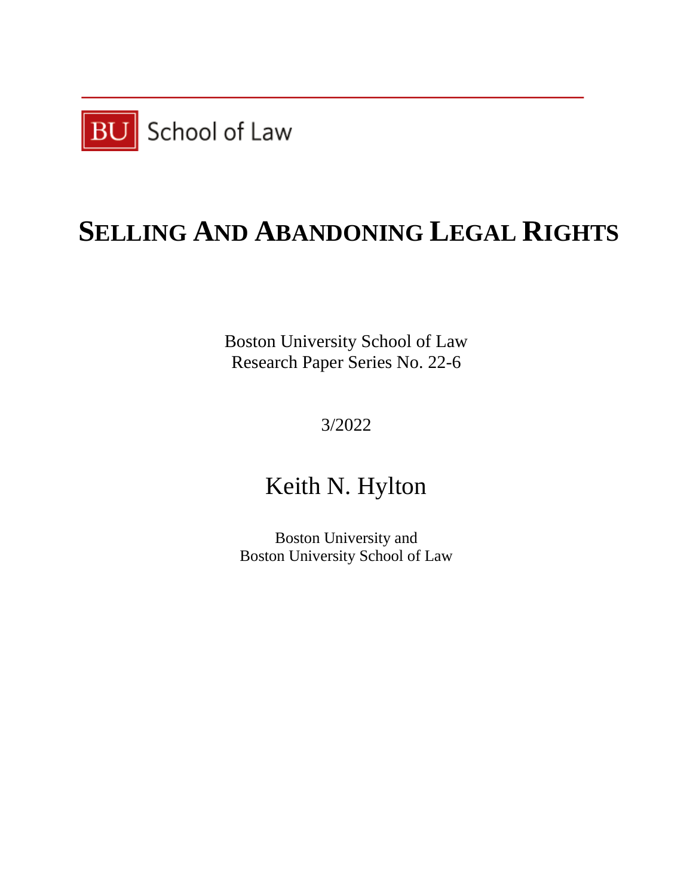

# **SELLING AND ABANDONING LEGAL RIGHTS**

Boston University School of Law Research Paper Series No. 22-6

3/2022

## Keith N. Hylton

Boston University and Boston University School of Law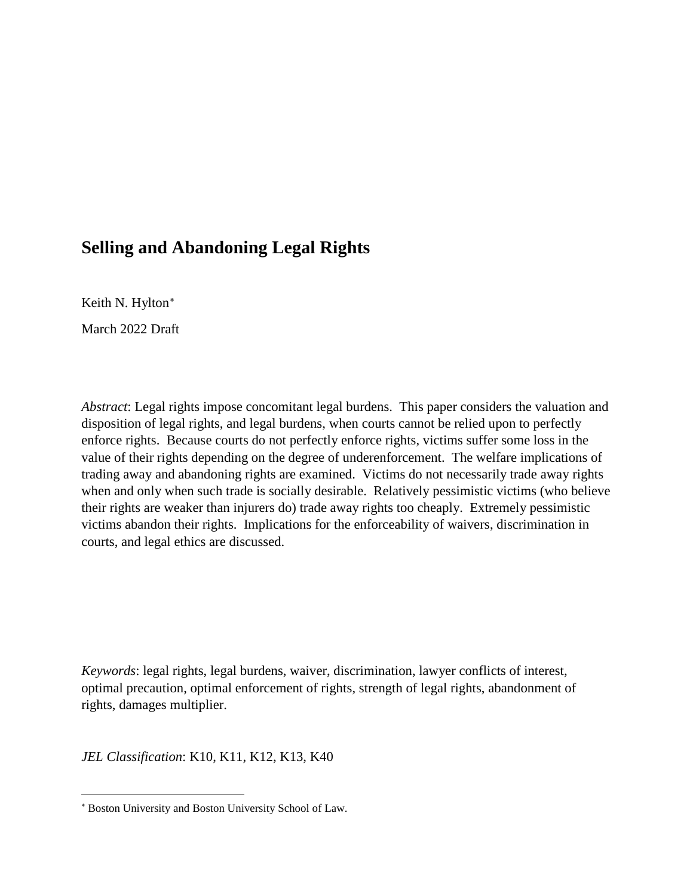## **Selling and Abandoning Legal Rights**

Keith N. Hylton[∗](#page-2-0)

March 2022 Draft

*Abstract*: Legal rights impose concomitant legal burdens. This paper considers the valuation and disposition of legal rights, and legal burdens, when courts cannot be relied upon to perfectly enforce rights. Because courts do not perfectly enforce rights, victims suffer some loss in the value of their rights depending on the degree of underenforcement. The welfare implications of trading away and abandoning rights are examined. Victims do not necessarily trade away rights when and only when such trade is socially desirable. Relatively pessimistic victims (who believe their rights are weaker than injurers do) trade away rights too cheaply. Extremely pessimistic victims abandon their rights. Implications for the enforceability of waivers, discrimination in courts, and legal ethics are discussed.

*Keywords*: legal rights, legal burdens, waiver, discrimination, lawyer conflicts of interest, optimal precaution, optimal enforcement of rights, strength of legal rights, abandonment of rights, damages multiplier.

*JEL Classification*: K10, K11, K12, K13, K40

<span id="page-2-0"></span> $\overline{a}$ <sup>∗</sup> Boston University and Boston University School of Law.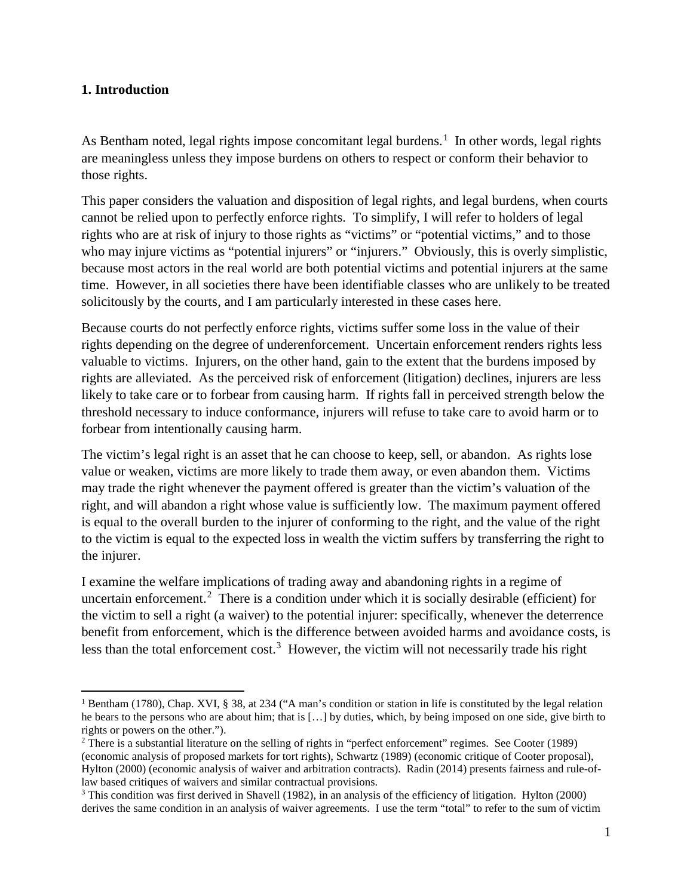#### **1. Introduction**

As Bentham noted, legal rights impose concomitant legal burdens. $<sup>1</sup>$  $<sup>1</sup>$  $<sup>1</sup>$  In other words, legal rights</sup> are meaningless unless they impose burdens on others to respect or conform their behavior to those rights.

This paper considers the valuation and disposition of legal rights, and legal burdens, when courts cannot be relied upon to perfectly enforce rights. To simplify, I will refer to holders of legal rights who are at risk of injury to those rights as "victims" or "potential victims," and to those who may injure victims as "potential injurers" or "injurers." Obviously, this is overly simplistic, because most actors in the real world are both potential victims and potential injurers at the same time. However, in all societies there have been identifiable classes who are unlikely to be treated solicitously by the courts, and I am particularly interested in these cases here.

Because courts do not perfectly enforce rights, victims suffer some loss in the value of their rights depending on the degree of underenforcement. Uncertain enforcement renders rights less valuable to victims. Injurers, on the other hand, gain to the extent that the burdens imposed by rights are alleviated. As the perceived risk of enforcement (litigation) declines, injurers are less likely to take care or to forbear from causing harm. If rights fall in perceived strength below the threshold necessary to induce conformance, injurers will refuse to take care to avoid harm or to forbear from intentionally causing harm.

The victim's legal right is an asset that he can choose to keep, sell, or abandon. As rights lose value or weaken, victims are more likely to trade them away, or even abandon them. Victims may trade the right whenever the payment offered is greater than the victim's valuation of the right, and will abandon a right whose value is sufficiently low. The maximum payment offered is equal to the overall burden to the injurer of conforming to the right, and the value of the right to the victim is equal to the expected loss in wealth the victim suffers by transferring the right to the injurer.

I examine the welfare implications of trading away and abandoning rights in a regime of uncertain enforcement.<sup>[2](#page-3-1)</sup> There is a condition under which it is socially desirable (efficient) for the victim to sell a right (a waiver) to the potential injurer: specifically, whenever the deterrence benefit from enforcement, which is the difference between avoided harms and avoidance costs, is less than the total enforcement cost.<sup>[3](#page-3-2)</sup> However, the victim will not necessarily trade his right

<span id="page-3-0"></span><sup>&</sup>lt;sup>1</sup> Bentham (1780), Chap. XVI, § 38, at 234 ("A man's condition or station in life is constituted by the legal relation he bears to the persons who are about him; that is […] by duties, which, by being imposed on one side, give birth to rights or powers on the other.").

<span id="page-3-1"></span><sup>2</sup> There is a substantial literature on the selling of rights in "perfect enforcement" regimes. See Cooter (1989) (economic analysis of proposed markets for tort rights), Schwartz (1989) (economic critique of Cooter proposal), Hylton (2000) (economic analysis of waiver and arbitration contracts). Radin (2014) presents fairness and rule-oflaw based critiques of waivers and similar contractual provisions.

<span id="page-3-2"></span><sup>3</sup> This condition was first derived in Shavell (1982), in an analysis of the efficiency of litigation. Hylton (2000) derives the same condition in an analysis of waiver agreements. I use the term "total" to refer to the sum of victim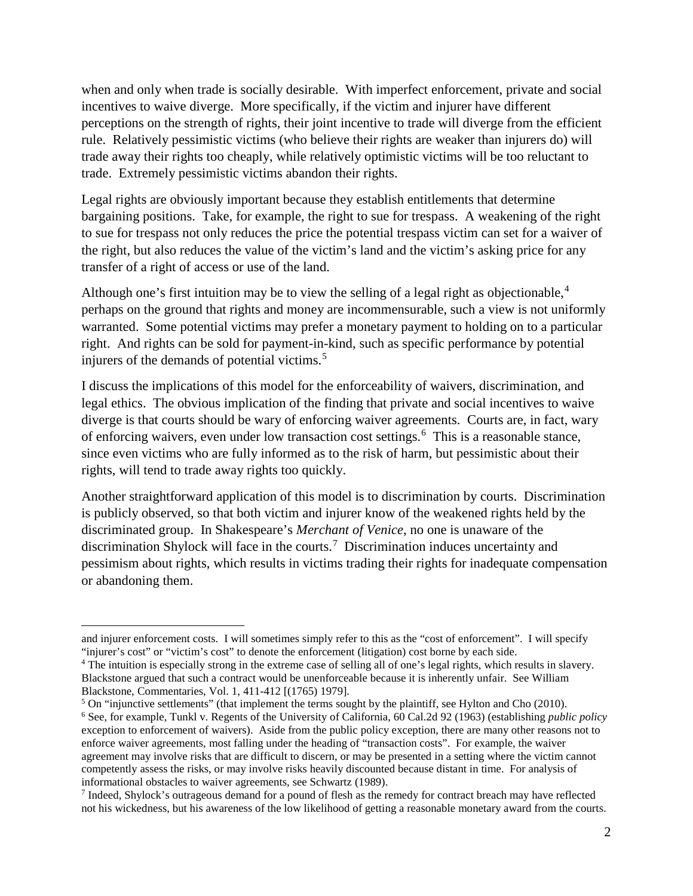when and only when trade is socially desirable. With imperfect enforcement, private and social incentives to waive diverge. More specifically, if the victim and injurer have different perceptions on the strength of rights, their joint incentive to trade will diverge from the efficient rule. Relatively pessimistic victims (who believe their rights are weaker than injurers do) will trade away their rights too cheaply, while relatively optimistic victims will be too reluctant to trade. Extremely pessimistic victims abandon their rights.

Legal rights are obviously important because they establish entitlements that determine bargaining positions. Take, for example, the right to sue for trespass. A weakening of the right to sue for trespass not only reduces the price the potential trespass victim can set for a waiver of the right, but also reduces the value of the victim's land and the victim's asking price for any transfer of a right of access or use of the land.

Although one's first intuition may be to view the selling of a legal right as objectionable, $4$ perhaps on the ground that rights and money are incommensurable, such a view is not uniformly warranted. Some potential victims may prefer a monetary payment to holding on to a particular right. And rights can be sold for payment-in-kind, such as specific performance by potential injurers of the demands of potential victims.<sup>[5](#page-4-1)</sup>

I discuss the implications of this model for the enforceability of waivers, discrimination, and legal ethics. The obvious implication of the finding that private and social incentives to waive diverge is that courts should be wary of enforcing waiver agreements. Courts are, in fact, wary of enforcing waivers, even under low transaction cost settings.<sup>[6](#page-4-2)</sup> This is a reasonable stance, since even victims who are fully informed as to the risk of harm, but pessimistic about their rights, will tend to trade away rights too quickly.

Another straightforward application of this model is to discrimination by courts. Discrimination is publicly observed, so that both victim and injurer know of the weakened rights held by the discriminated group. In Shakespeare's *Merchant of Venice*, no one is unaware of the discrimination Shylock will face in the courts.[7](#page-4-3) Discrimination induces uncertainty and pessimism about rights, which results in victims trading their rights for inadequate compensation or abandoning them.

 $\overline{a}$ and injurer enforcement costs. I will sometimes simply refer to this as the "cost of enforcement". I will specify "injurer's cost" or "victim's cost" to denote the enforcement (litigation) cost borne by each side.

<span id="page-4-0"></span><sup>4</sup> The intuition is especially strong in the extreme case of selling all of one's legal rights, which results in slavery. Blackstone argued that such a contract would be unenforceable because it is inherently unfair. See William Blackstone, Commentaries, Vol. 1, 411-412 [(1765) 1979].

<span id="page-4-2"></span><span id="page-4-1"></span> $5$  On "injunctive settlements" (that implement the terms sought by the plaintiff, see Hylton and Cho (2010). <sup>6</sup> See, for example, Tunkl v. Regents of the University of California, 60 Cal.2d 92 (1963) (establishing *public policy* exception to enforcement of waivers). Aside from the public policy exception, there are many other reasons not to enforce waiver agreements, most falling under the heading of "transaction costs". For example, the waiver agreement may involve risks that are difficult to discern, or may be presented in a setting where the victim cannot competently assess the risks, or may involve risks heavily discounted because distant in time. For analysis of informational obstacles to waiver agreements, see Schwartz (1989).

<span id="page-4-3"></span><sup>7</sup> Indeed, Shylock's outrageous demand for a pound of flesh as the remedy for contract breach may have reflected not his wickedness, but his awareness of the low likelihood of getting a reasonable monetary award from the courts.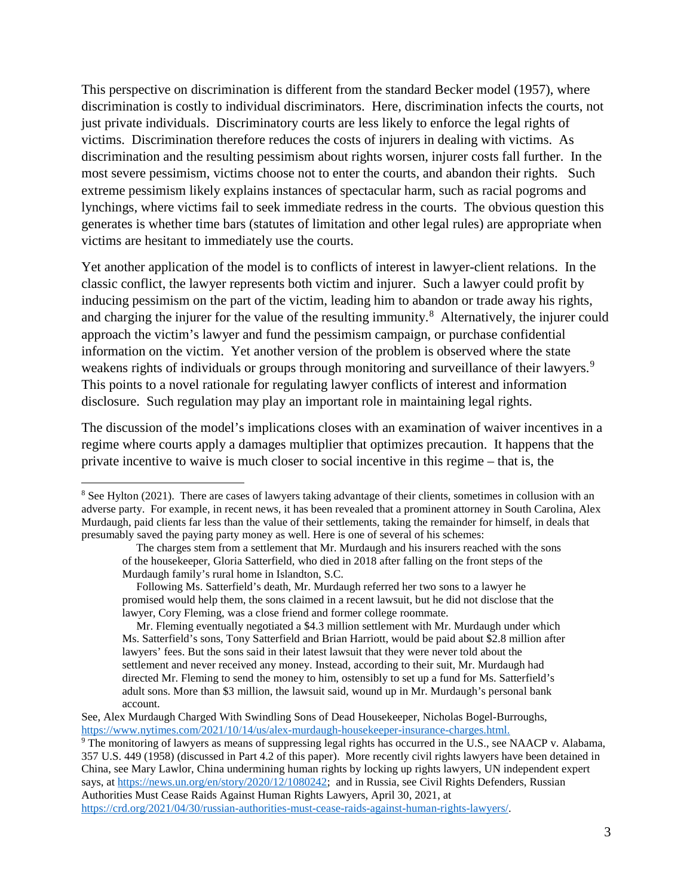This perspective on discrimination is different from the standard Becker model (1957), where discrimination is costly to individual discriminators. Here, discrimination infects the courts, not just private individuals. Discriminatory courts are less likely to enforce the legal rights of victims. Discrimination therefore reduces the costs of injurers in dealing with victims. As discrimination and the resulting pessimism about rights worsen, injurer costs fall further. In the most severe pessimism, victims choose not to enter the courts, and abandon their rights. Such extreme pessimism likely explains instances of spectacular harm, such as racial pogroms and lynchings, where victims fail to seek immediate redress in the courts. The obvious question this generates is whether time bars (statutes of limitation and other legal rules) are appropriate when victims are hesitant to immediately use the courts.

Yet another application of the model is to conflicts of interest in lawyer-client relations. In the classic conflict, the lawyer represents both victim and injurer. Such a lawyer could profit by inducing pessimism on the part of the victim, leading him to abandon or trade away his rights, and charging the injurer for the value of the resulting immunity.<sup>[8](#page-5-0)</sup> Alternatively, the injurer could approach the victim's lawyer and fund the pessimism campaign, or purchase confidential information on the victim. Yet another version of the problem is observed where the state weakens rights of individuals or groups through monitoring and surveillance of their lawyers.<sup>[9](#page-5-1)</sup> This points to a novel rationale for regulating lawyer conflicts of interest and information disclosure. Such regulation may play an important role in maintaining legal rights.

The discussion of the model's implications closes with an examination of waiver incentives in a regime where courts apply a damages multiplier that optimizes precaution. It happens that the private incentive to waive is much closer to social incentive in this regime – that is, the

<span id="page-5-0"></span><sup>&</sup>lt;sup>8</sup> See Hylton (2021). There are cases of lawyers taking advantage of their clients, sometimes in collusion with an adverse party. For example, in recent news, it has been revealed that a prominent attorney in South Carolina, Alex Murdaugh, paid clients far less than the value of their settlements, taking the remainder for himself, in deals that presumably saved the paying party money as well. Here is one of several of his schemes:

The charges stem from a settlement that Mr. Murdaugh and his insurers reached with the sons of the housekeeper, Gloria Satterfield, who died in 2018 after falling on the front steps of the Murdaugh family's rural home in Islandton, S.C.

Following Ms. Satterfield's death, Mr. Murdaugh referred her two sons to a lawyer he promised would help them, the sons claimed in a recent lawsuit, but he did not disclose that the lawyer, Cory Fleming, was a close friend and former college roommate.

Mr. Fleming eventually negotiated a \$4.3 million settlement with Mr. Murdaugh under which Ms. Satterfield's sons, Tony Satterfield and Brian Harriott, would be paid about \$2.8 million after lawyers' fees. But the sons said in their latest lawsuit that they were never told about the settlement and never received any money. Instead, according to their suit, Mr. Murdaugh had directed Mr. Fleming to send the money to him, ostensibly to set up a fund for Ms. Satterfield's adult sons. More than \$3 million, the lawsuit said, wound up in Mr. Murdaugh's personal bank account.

See, Alex Murdaugh Charged With Swindling Sons of Dead Housekeeper, Nicholas Bogel-Burroughs, [https://www.nytimes.com/2021/10/14/us/alex-murdaugh-housekeeper-insurance-charges.html.](https://www.nytimes.com/2021/10/14/us/alex-murdaugh-housekeeper-insurance-charges.html)

<span id="page-5-1"></span><sup>9</sup> The monitoring of lawyers as means of suppressing legal rights has occurred in the U.S., see NAACP v. Alabama, 357 U.S. 449 (1958) (discussed in Part 4.2 of this paper). More recently civil rights lawyers have been detained in China, see Mary Lawlor, China undermining human rights by locking up rights lawyers, UN independent expert says, at [https://news.un.org/en/story/2020/12/1080242;](https://news.un.org/en/story/2020/12/1080242) and in Russia, see Civil Rights Defenders, Russian Authorities Must Cease Raids Against Human Rights Lawyers, April 30, 2021, at [https://crd.org/2021/04/30/russian-authorities-must-cease-raids-against-human-rights-lawyers/.](https://crd.org/2021/04/30/russian-authorities-must-cease-raids-against-human-rights-lawyers/)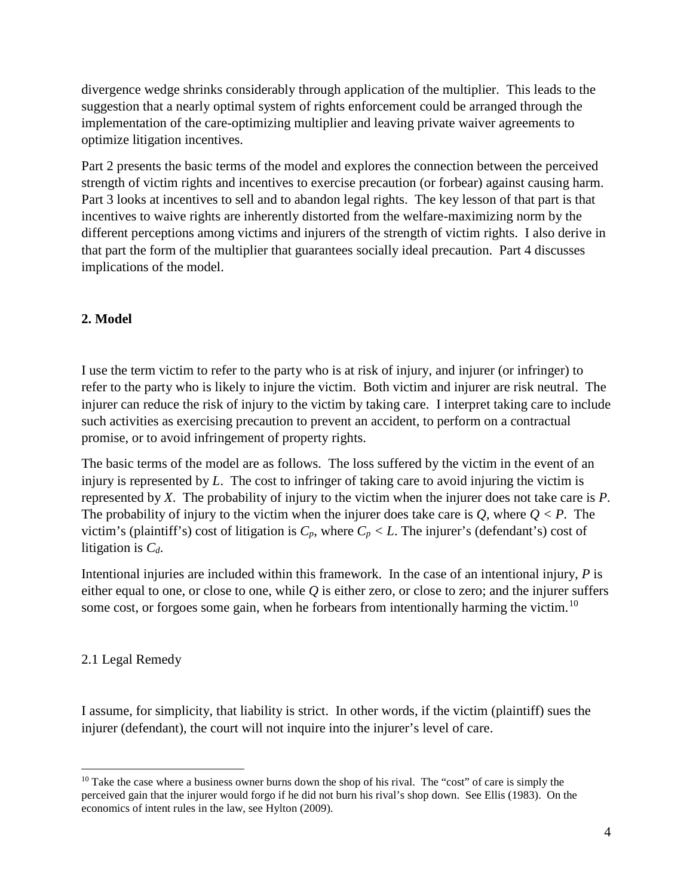divergence wedge shrinks considerably through application of the multiplier. This leads to the suggestion that a nearly optimal system of rights enforcement could be arranged through the implementation of the care-optimizing multiplier and leaving private waiver agreements to optimize litigation incentives.

Part 2 presents the basic terms of the model and explores the connection between the perceived strength of victim rights and incentives to exercise precaution (or forbear) against causing harm. Part 3 looks at incentives to sell and to abandon legal rights. The key lesson of that part is that incentives to waive rights are inherently distorted from the welfare-maximizing norm by the different perceptions among victims and injurers of the strength of victim rights. I also derive in that part the form of the multiplier that guarantees socially ideal precaution. Part 4 discusses implications of the model.

#### **2. Model**

I use the term victim to refer to the party who is at risk of injury, and injurer (or infringer) to refer to the party who is likely to injure the victim. Both victim and injurer are risk neutral. The injurer can reduce the risk of injury to the victim by taking care. I interpret taking care to include such activities as exercising precaution to prevent an accident, to perform on a contractual promise, or to avoid infringement of property rights.

The basic terms of the model are as follows. The loss suffered by the victim in the event of an injury is represented by *L*. The cost to infringer of taking care to avoid injuring the victim is represented by *X*. The probability of injury to the victim when the injurer does not take care is *P*. The probability of injury to the victim when the injurer does take care is  $Q$ , where  $Q < P$ . The victim's (plaintiff's) cost of litigation is  $C_p$ , where  $C_p < L$ . The injurer's (defendant's) cost of litigation is *Cd*.

Intentional injuries are included within this framework. In the case of an intentional injury, *P* is either equal to one, or close to one, while *Q* is either zero, or close to zero; and the injurer suffers some cost, or forgoes some gain, when he forbears from intentionally harming the victim.<sup>[10](#page-6-0)</sup>

#### 2.1 Legal Remedy

I assume, for simplicity, that liability is strict. In other words, if the victim (plaintiff) sues the injurer (defendant), the court will not inquire into the injurer's level of care.

<span id="page-6-0"></span> $10$  Take the case where a business owner burns down the shop of his rival. The "cost" of care is simply the perceived gain that the injurer would forgo if he did not burn his rival's shop down. See Ellis (1983). On the economics of intent rules in the law, see Hylton (2009).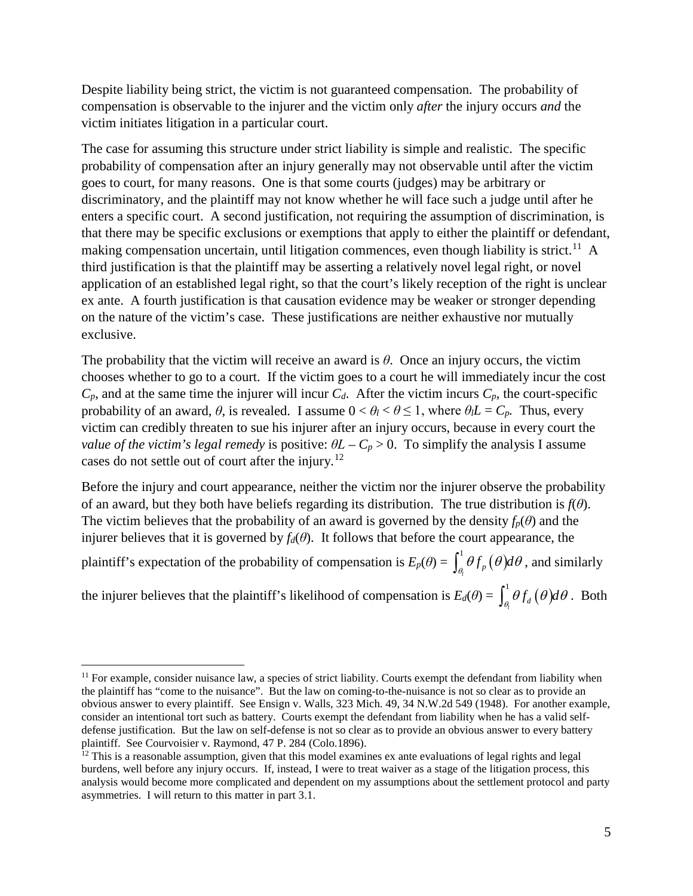Despite liability being strict, the victim is not guaranteed compensation. The probability of compensation is observable to the injurer and the victim only *after* the injury occurs *and* the victim initiates litigation in a particular court.

The case for assuming this structure under strict liability is simple and realistic. The specific probability of compensation after an injury generally may not observable until after the victim goes to court, for many reasons. One is that some courts (judges) may be arbitrary or discriminatory, and the plaintiff may not know whether he will face such a judge until after he enters a specific court. A second justification, not requiring the assumption of discrimination, is that there may be specific exclusions or exemptions that apply to either the plaintiff or defendant, making compensation uncertain, until litigation commences, even though liability is strict.<sup>[11](#page-7-0)</sup> A third justification is that the plaintiff may be asserting a relatively novel legal right, or novel application of an established legal right, so that the court's likely reception of the right is unclear ex ante. A fourth justification is that causation evidence may be weaker or stronger depending on the nature of the victim's case. These justifications are neither exhaustive nor mutually exclusive.

The probability that the victim will receive an award is *θ*. Once an injury occurs, the victim chooses whether to go to a court. If the victim goes to a court he will immediately incur the cost  $C_p$ , and at the same time the injurer will incur  $C_d$ . After the victim incurs  $C_p$ , the court-specific probability of an award,  $\theta$ , is revealed. I assume  $0 < \theta_l < \theta \leq 1$ , where  $\theta_l L = C_p$ . Thus, every victim can credibly threaten to sue his injurer after an injury occurs, because in every court the *value of the victim's legal remedy* is positive:  $\theta L - C_p > 0$ . To simplify the analysis I assume cases do not settle out of court after the injury.<sup>[12](#page-7-1)</sup>

Before the injury and court appearance, neither the victim nor the injurer observe the probability of an award, but they both have beliefs regarding its distribution. The true distribution is  $f(\theta)$ . The victim believes that the probability of an award is governed by the density  $f_p(\theta)$  and the injurer believes that it is governed by  $f_d(\theta)$ . It follows that before the court appearance, the

plaintiff's expectation of the probability of compensation is  $E_p(\theta) = \int_{\theta_i}^1 \theta f_p(\theta) d\theta$ , and similarly

the injurer believes that the plaintiff's likelihood of compensation is  $E_d(\theta) = \int_{\theta_i}^1 \theta f_d(\theta) d\theta$ . Both *l*

<span id="page-7-0"></span><sup>&</sup>lt;sup>11</sup> For example, consider nuisance law, a species of strict liability. Courts exempt the defendant from liability when the plaintiff has "come to the nuisance". But the law on coming-to-the-nuisance is not so clear as to provide an obvious answer to every plaintiff. See Ensign v. Walls, 323 Mich. 49, 34 N.W.2d 549 (1948). For another example, consider an intentional tort such as battery. Courts exempt the defendant from liability when he has a valid selfdefense justification. But the law on self-defense is not so clear as to provide an obvious answer to every battery plaintiff. See Courvoisier v. Raymond, 47 P. 284 (Colo.1896).<br><sup>12</sup> This is a reasonable assumption, given that this model examines ex ante evaluations of legal rights and legal

<span id="page-7-1"></span>burdens, well before any injury occurs. If, instead, I were to treat waiver as a stage of the litigation process, this analysis would become more complicated and dependent on my assumptions about the settlement protocol and party asymmetries. I will return to this matter in part 3.1.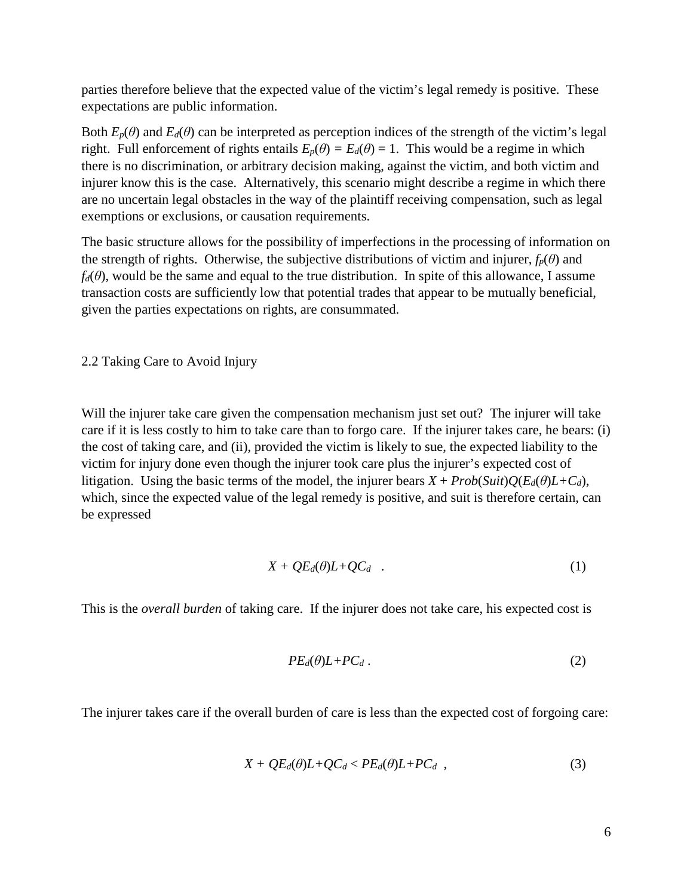parties therefore believe that the expected value of the victim's legal remedy is positive. These expectations are public information.

Both  $E_p(\theta)$  and  $E_d(\theta)$  can be interpreted as perception indices of the strength of the victim's legal right. Full enforcement of rights entails  $E_p(\theta) = E_d(\theta) = 1$ . This would be a regime in which there is no discrimination, or arbitrary decision making, against the victim, and both victim and injurer know this is the case. Alternatively, this scenario might describe a regime in which there are no uncertain legal obstacles in the way of the plaintiff receiving compensation, such as legal exemptions or exclusions, or causation requirements.

The basic structure allows for the possibility of imperfections in the processing of information on the strength of rights. Otherwise, the subjective distributions of victim and injurer,  $f_p(\theta)$  and  $f_d(\theta)$ , would be the same and equal to the true distribution. In spite of this allowance, I assume transaction costs are sufficiently low that potential trades that appear to be mutually beneficial, given the parties expectations on rights, are consummated.

2.2 Taking Care to Avoid Injury

Will the injurer take care given the compensation mechanism just set out? The injurer will take care if it is less costly to him to take care than to forgo care. If the injurer takes care, he bears: (i) the cost of taking care, and (ii), provided the victim is likely to sue, the expected liability to the victim for injury done even though the injurer took care plus the injurer's expected cost of litigation. Using the basic terms of the model, the injurer bears  $X + Prob(Suit)Q(E_d(\theta)L+C_d)$ , which, since the expected value of the legal remedy is positive, and suit is therefore certain, can be expressed

$$
X + QE_d(\theta)L + QC_d \quad . \tag{1}
$$

This is the *overall burden* of taking care. If the injurer does not take care, his expected cost is

$$
PE_d(\theta)L + PC_d.
$$
 (2)

The injurer takes care if the overall burden of care is less than the expected cost of forgoing care:

$$
X + QE_d(\theta)L + QC_d < PE_d(\theta)L + PC_d \quad , \tag{3}
$$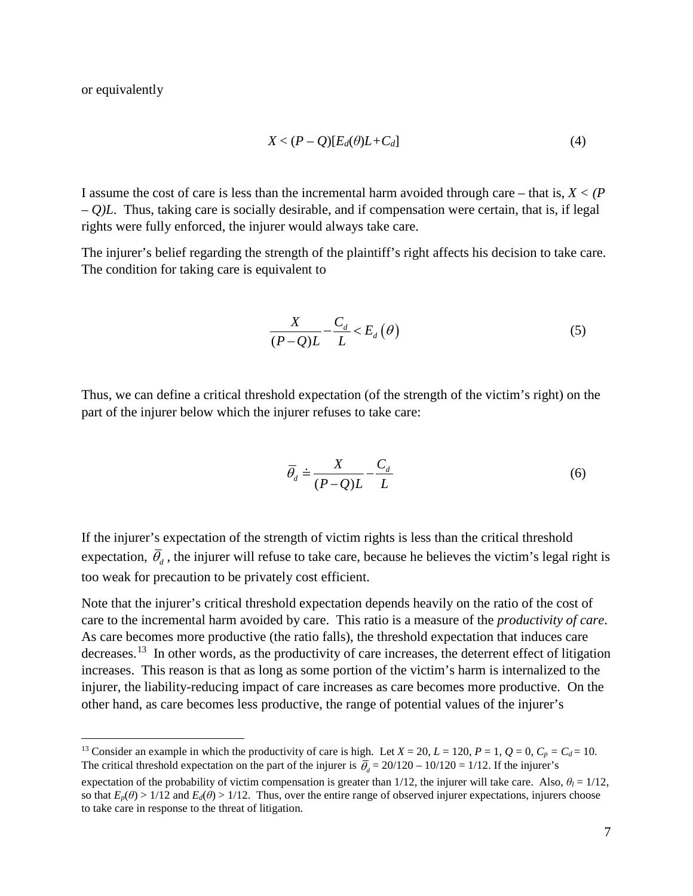or equivalently

$$
X < (P - Q)[E_d(\theta)L + C_d]
$$
\n<sup>(4)</sup>

I assume the cost of care is less than the incremental harm avoided through care – that is, *X < (P – Q)L*. Thus, taking care is socially desirable, and if compensation were certain, that is, if legal rights were fully enforced, the injurer would always take care.

The injurer's belief regarding the strength of the plaintiff's right affects his decision to take care. The condition for taking care is equivalent to

$$
\frac{X}{(P-Q)L} - \frac{C_d}{L} < E_d(\theta) \tag{5}
$$

Thus, we can define a critical threshold expectation (of the strength of the victim's right) on the part of the injurer below which the injurer refuses to take care:

$$
\overline{\theta}_d \doteq \frac{X}{(P-Q)L} - \frac{C_d}{L} \tag{6}
$$

If the injurer's expectation of the strength of victim rights is less than the critical threshold expectation,  $\overline{\theta}_d$ , the injurer will refuse to take care, because he believes the victim's legal right is too weak for precaution to be privately cost efficient.

Note that the injurer's critical threshold expectation depends heavily on the ratio of the cost of care to the incremental harm avoided by care. This ratio is a measure of the *productivity of care*. As care becomes more productive (the ratio falls), the threshold expectation that induces care decreases.[13](#page-9-0) In other words, as the productivity of care increases, the deterrent effect of litigation increases. This reason is that as long as some portion of the victim's harm is internalized to the injurer, the liability-reducing impact of care increases as care becomes more productive. On the other hand, as care becomes less productive, the range of potential values of the injurer's

<span id="page-9-0"></span><sup>&</sup>lt;sup>13</sup> Consider an example in which the productivity of care is high. Let  $X = 20$ ,  $L = 120$ ,  $P = 1$ ,  $Q = 0$ ,  $C_p = C_d = 10$ . The critical threshold expectation on the part of the injurer is  $\bar{\theta}_d = 20/120 - 10/120 = 1/12$ . If the injurer's

expectation of the probability of victim compensation is greater than 1/12, the injurer will take care. Also,  $\theta_l = 1/12$ , so that  $E_p(\theta) > 1/12$  and  $E_d(\theta) > 1/12$ . Thus, over the entire range of observed injurer expectations, injurers choose to take care in response to the threat of litigation.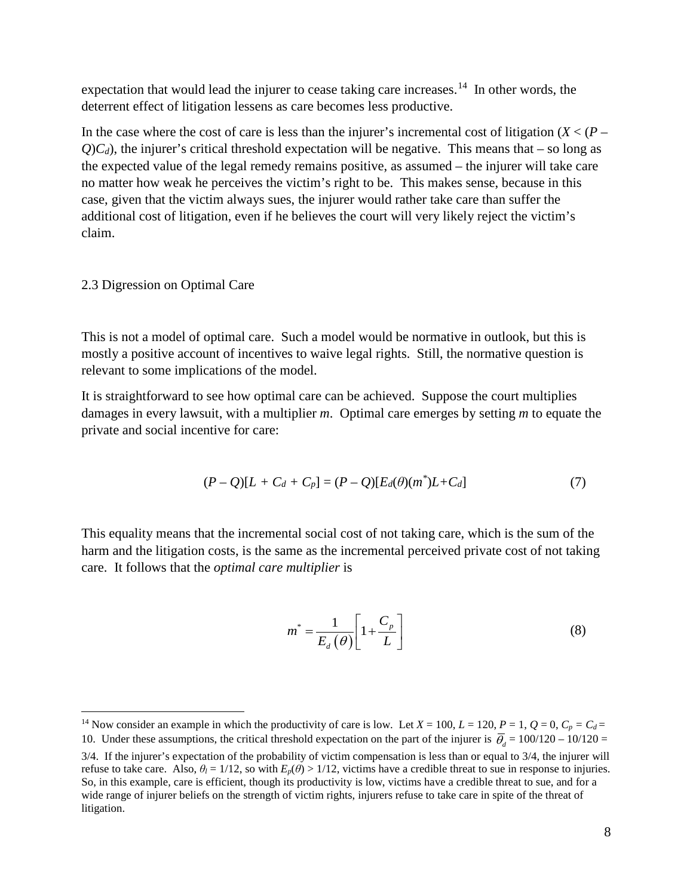expectation that would lead the injurer to cease taking care increases.<sup>14</sup> In other words, the deterrent effect of litigation lessens as care becomes less productive.

In the case where the cost of care is less than the injurer's incremental cost of litigation (*X* < (*P –*  $Q$ ) $C_d$ ), the injurer's critical threshold expectation will be negative. This means that – so long as the expected value of the legal remedy remains positive, as assumed – the injurer will take care no matter how weak he perceives the victim's right to be. This makes sense, because in this case, given that the victim always sues, the injurer would rather take care than suffer the additional cost of litigation, even if he believes the court will very likely reject the victim's claim.

#### 2.3 Digression on Optimal Care

This is not a model of optimal care. Such a model would be normative in outlook, but this is mostly a positive account of incentives to waive legal rights. Still, the normative question is relevant to some implications of the model.

It is straightforward to see how optimal care can be achieved. Suppose the court multiplies damages in every lawsuit, with a multiplier *m*. Optimal care emerges by setting *m* to equate the private and social incentive for care:

$$
(P - Q)[L + C_d + C_p] = (P - Q)[E_d(\theta)(m^*)L + C_d]
$$
\n(7)

This equality means that the incremental social cost of not taking care, which is the sum of the harm and the litigation costs, is the same as the incremental perceived private cost of not taking care. It follows that the *optimal care multiplier* is

$$
m^* = \frac{1}{E_d(\theta)} \left[ 1 + \frac{C_p}{L} \right] \tag{8}
$$

<span id="page-10-0"></span><sup>&</sup>lt;sup>14</sup> Now consider an example in which the productivity of care is low. Let  $X = 100$ ,  $L = 120$ ,  $P = 1$ ,  $Q = 0$ ,  $C_p = C_d =$ 10. Under these assumptions, the critical threshold expectation on the part of the injurer is  $\bar{\theta}_4 = 100/120 - 10/120 =$ 

<sup>3/4.</sup> If the injurer's expectation of the probability of victim compensation is less than or equal to 3/4, the injurer will refuse to take care. Also,  $\theta_l = 1/12$ , so with  $E_p(\theta) > 1/12$ , victims have a credible threat to sue in response to injuries. So, in this example, care is efficient, though its productivity is low, victims have a credible threat to sue, and for a wide range of injurer beliefs on the strength of victim rights, injurers refuse to take care in spite of the threat of litigation.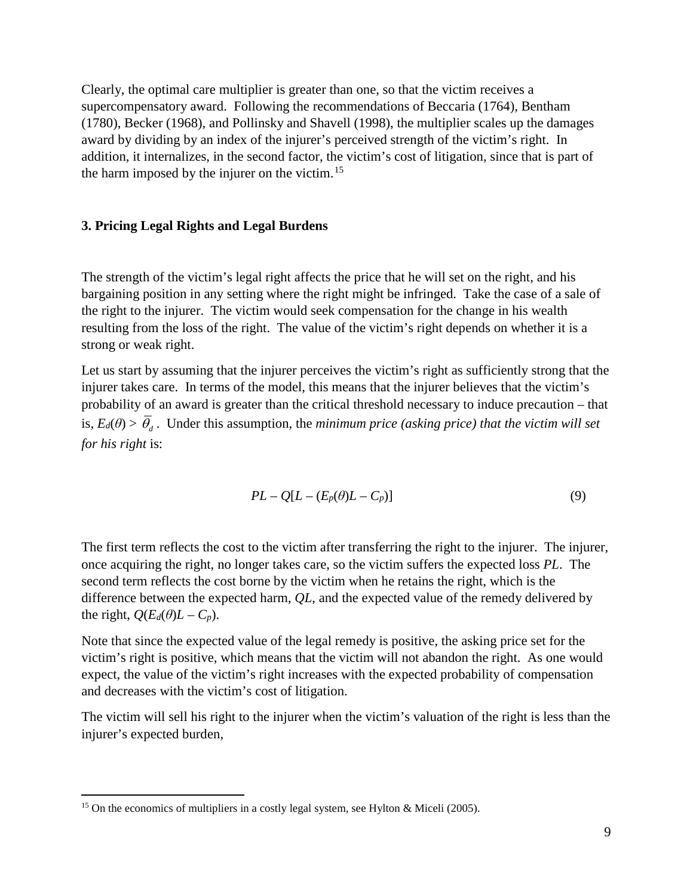Clearly, the optimal care multiplier is greater than one, so that the victim receives a supercompensatory award. Following the recommendations of Beccaria (1764), Bentham (1780), Becker (1968), and Pollinsky and Shavell (1998), the multiplier scales up the damages award by dividing by an index of the injurer's perceived strength of the victim's right. In addition, it internalizes, in the second factor, the victim's cost of litigation, since that is part of the harm imposed by the injurer on the victim.<sup>15</sup>

#### **3. Pricing Legal Rights and Legal Burdens**

The strength of the victim's legal right affects the price that he will set on the right, and his bargaining position in any setting where the right might be infringed. Take the case of a sale of the right to the injurer. The victim would seek compensation for the change in his wealth resulting from the loss of the right. The value of the victim's right depends on whether it is a strong or weak right.

Let us start by assuming that the injurer perceives the victim's right as sufficiently strong that the injurer takes care. In terms of the model, this means that the injurer believes that the victim's probability of an award is greater than the critical threshold necessary to induce precaution – that is,  $E_d(\theta) > \overline{\theta}_d$ . Under this assumption, the *minimum price (asking price)* that the victim will set *for his right* is:

$$
PL - Q[L - (E_p(\theta)L - C_p)] \tag{9}
$$

The first term reflects the cost to the victim after transferring the right to the injurer. The injurer, once acquiring the right, no longer takes care, so the victim suffers the expected loss *PL*. The second term reflects the cost borne by the victim when he retains the right, which is the difference between the expected harm, *QL*, and the expected value of the remedy delivered by the right,  $Q(E_d(\theta)L - C_p)$ .

Note that since the expected value of the legal remedy is positive, the asking price set for the victim's right is positive, which means that the victim will not abandon the right. As one would expect, the value of the victim's right increases with the expected probability of compensation and decreases with the victim's cost of litigation.

The victim will sell his right to the injurer when the victim's valuation of the right is less than the injurer's expected burden,

<span id="page-11-0"></span><sup>&</sup>lt;sup>15</sup> On the economics of multipliers in a costly legal system, see Hylton & Miceli (2005).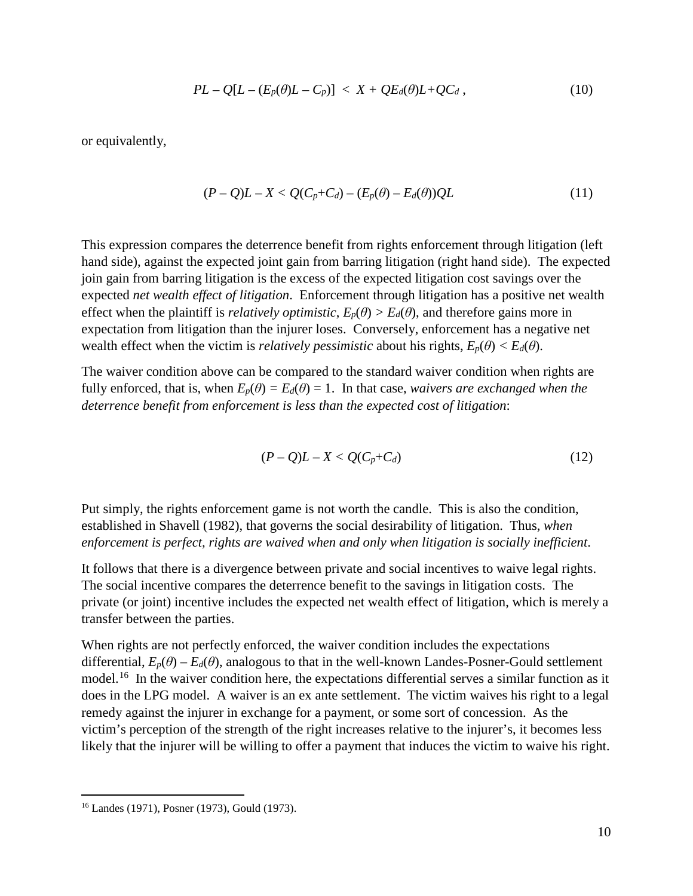$$
PL - Q[L - (E_p(\theta)L - C_p)] < X + QE_d(\theta)L + QC_d \,, \tag{10}
$$

or equivalently,

$$
(P-Q)L-X < Q(C_p+C_d)-(E_p(\theta)-E_d(\theta))QL \qquad (11)
$$

This expression compares the deterrence benefit from rights enforcement through litigation (left hand side), against the expected joint gain from barring litigation (right hand side). The expected join gain from barring litigation is the excess of the expected litigation cost savings over the expected *net wealth effect of litigation*. Enforcement through litigation has a positive net wealth effect when the plaintiff is *relatively optimistic*,  $E_p(\theta) > E_d(\theta)$ , and therefore gains more in expectation from litigation than the injurer loses. Conversely, enforcement has a negative net wealth effect when the victim is *relatively pessimistic* about his rights,  $E_p(\theta) < E_d(\theta)$ .

The waiver condition above can be compared to the standard waiver condition when rights are fully enforced, that is, when  $E_p(\theta) = E_d(\theta) = 1$ . In that case, *waivers are exchanged when the deterrence benefit from enforcement is less than the expected cost of litigation*:

$$
(P-Q)L-X < Q(C_p+C_d)
$$
\n
$$
(12)
$$

Put simply, the rights enforcement game is not worth the candle. This is also the condition, established in Shavell (1982), that governs the social desirability of litigation. Thus, *when enforcement is perfect, rights are waived when and only when litigation is socially inefficient*.

It follows that there is a divergence between private and social incentives to waive legal rights. The social incentive compares the deterrence benefit to the savings in litigation costs. The private (or joint) incentive includes the expected net wealth effect of litigation, which is merely a transfer between the parties.

When rights are not perfectly enforced, the waiver condition includes the expectations differential,  $E_p(\theta) - E_d(\theta)$ , analogous to that in the well-known Landes-Posner-Gould settlement model.[16](#page-12-0) In the waiver condition here, the expectations differential serves a similar function as it does in the LPG model. A waiver is an ex ante settlement. The victim waives his right to a legal remedy against the injurer in exchange for a payment, or some sort of concession. As the victim's perception of the strength of the right increases relative to the injurer's, it becomes less likely that the injurer will be willing to offer a payment that induces the victim to waive his right.

<span id="page-12-0"></span> <sup>16</sup> Landes (1971), Posner (1973), Gould (1973).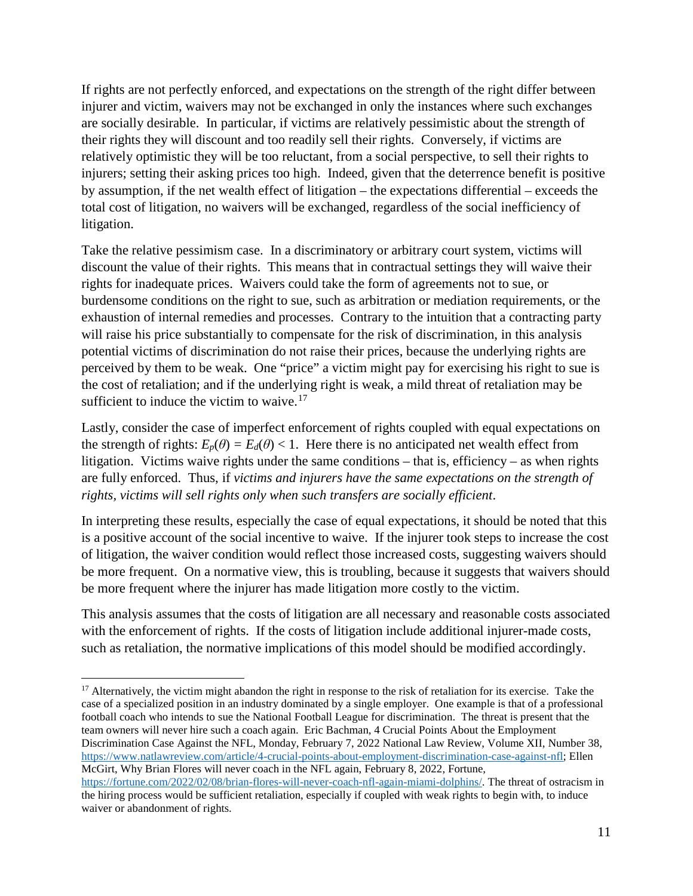If rights are not perfectly enforced, and expectations on the strength of the right differ between injurer and victim, waivers may not be exchanged in only the instances where such exchanges are socially desirable. In particular, if victims are relatively pessimistic about the strength of their rights they will discount and too readily sell their rights. Conversely, if victims are relatively optimistic they will be too reluctant, from a social perspective, to sell their rights to injurers; setting their asking prices too high. Indeed, given that the deterrence benefit is positive by assumption, if the net wealth effect of litigation – the expectations differential – exceeds the total cost of litigation, no waivers will be exchanged, regardless of the social inefficiency of litigation.

Take the relative pessimism case. In a discriminatory or arbitrary court system, victims will discount the value of their rights. This means that in contractual settings they will waive their rights for inadequate prices. Waivers could take the form of agreements not to sue, or burdensome conditions on the right to sue, such as arbitration or mediation requirements, or the exhaustion of internal remedies and processes. Contrary to the intuition that a contracting party will raise his price substantially to compensate for the risk of discrimination, in this analysis potential victims of discrimination do not raise their prices, because the underlying rights are perceived by them to be weak. One "price" a victim might pay for exercising his right to sue is the cost of retaliation; and if the underlying right is weak, a mild threat of retaliation may be sufficient to induce the victim to waive. $17$ 

Lastly, consider the case of imperfect enforcement of rights coupled with equal expectations on the strength of rights:  $E_p(\theta) = E_d(\theta) < 1$ . Here there is no anticipated net wealth effect from litigation. Victims waive rights under the same conditions – that is, efficiency – as when rights are fully enforced. Thus, if *victims and injurers have the same expectations on the strength of rights, victims will sell rights only when such transfers are socially efficient*.

In interpreting these results, especially the case of equal expectations, it should be noted that this is a positive account of the social incentive to waive. If the injurer took steps to increase the cost of litigation, the waiver condition would reflect those increased costs, suggesting waivers should be more frequent. On a normative view, this is troubling, because it suggests that waivers should be more frequent where the injurer has made litigation more costly to the victim.

This analysis assumes that the costs of litigation are all necessary and reasonable costs associated with the enforcement of rights. If the costs of litigation include additional injurer-made costs, such as retaliation, the normative implications of this model should be modified accordingly.

<span id="page-13-0"></span> $17$  Alternatively, the victim might abandon the right in response to the risk of retaliation for its exercise. Take the case of a specialized position in an industry dominated by a single employer. One example is that of a professional football coach who intends to sue the National Football League for discrimination. The threat is present that the team owners will never hire such a coach again. Eric Bachman, 4 Crucial Points About the Employment Discrimination Case Against the NFL, Monday, February 7, 2022 National Law Review, Volume XII, Number 38, [https://www.natlawreview.com/article/4-crucial-points-about-employment-discrimination-case-against-nfl;](https://www.natlawreview.com/article/4-crucial-points-about-employment-discrimination-case-against-nfl) Ellen McGirt, Why Brian Flores will never coach in the NFL again, February 8, 2022, Fortune,

[https://fortune.com/2022/02/08/brian-flores-will-never-coach-nfl-again-miami-dolphins/.](https://fortune.com/2022/02/08/brian-flores-will-never-coach-nfl-again-miami-dolphins/) The threat of ostracism in the hiring process would be sufficient retaliation, especially if coupled with weak rights to begin with, to induce waiver or abandonment of rights.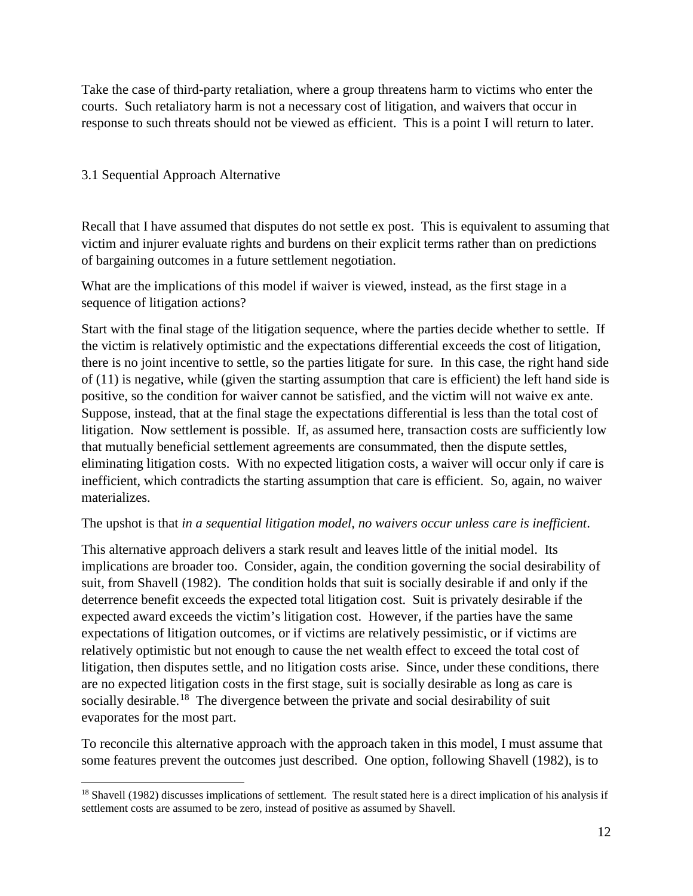Take the case of third-party retaliation, where a group threatens harm to victims who enter the courts. Such retaliatory harm is not a necessary cost of litigation, and waivers that occur in response to such threats should not be viewed as efficient. This is a point I will return to later.

#### 3.1 Sequential Approach Alternative

Recall that I have assumed that disputes do not settle ex post. This is equivalent to assuming that victim and injurer evaluate rights and burdens on their explicit terms rather than on predictions of bargaining outcomes in a future settlement negotiation.

What are the implications of this model if waiver is viewed, instead, as the first stage in a sequence of litigation actions?

Start with the final stage of the litigation sequence, where the parties decide whether to settle. If the victim is relatively optimistic and the expectations differential exceeds the cost of litigation, there is no joint incentive to settle, so the parties litigate for sure. In this case, the right hand side of (11) is negative, while (given the starting assumption that care is efficient) the left hand side is positive, so the condition for waiver cannot be satisfied, and the victim will not waive ex ante. Suppose, instead, that at the final stage the expectations differential is less than the total cost of litigation. Now settlement is possible. If, as assumed here, transaction costs are sufficiently low that mutually beneficial settlement agreements are consummated, then the dispute settles, eliminating litigation costs. With no expected litigation costs, a waiver will occur only if care is inefficient, which contradicts the starting assumption that care is efficient. So, again, no waiver materializes.

#### The upshot is that *in a sequential litigation model, no waivers occur unless care is inefficient*.

This alternative approach delivers a stark result and leaves little of the initial model. Its implications are broader too. Consider, again, the condition governing the social desirability of suit, from Shavell (1982). The condition holds that suit is socially desirable if and only if the deterrence benefit exceeds the expected total litigation cost. Suit is privately desirable if the expected award exceeds the victim's litigation cost. However, if the parties have the same expectations of litigation outcomes, or if victims are relatively pessimistic, or if victims are relatively optimistic but not enough to cause the net wealth effect to exceed the total cost of litigation, then disputes settle, and no litigation costs arise. Since, under these conditions, there are no expected litigation costs in the first stage, suit is socially desirable as long as care is socially desirable.<sup>[18](#page-14-0)</sup> The divergence between the private and social desirability of suit evaporates for the most part.

To reconcile this alternative approach with the approach taken in this model, I must assume that some features prevent the outcomes just described. One option, following Shavell (1982), is to

<span id="page-14-0"></span><sup>&</sup>lt;sup>18</sup> Shavell (1982) discusses implications of settlement. The result stated here is a direct implication of his analysis if settlement costs are assumed to be zero, instead of positive as assumed by Shavell.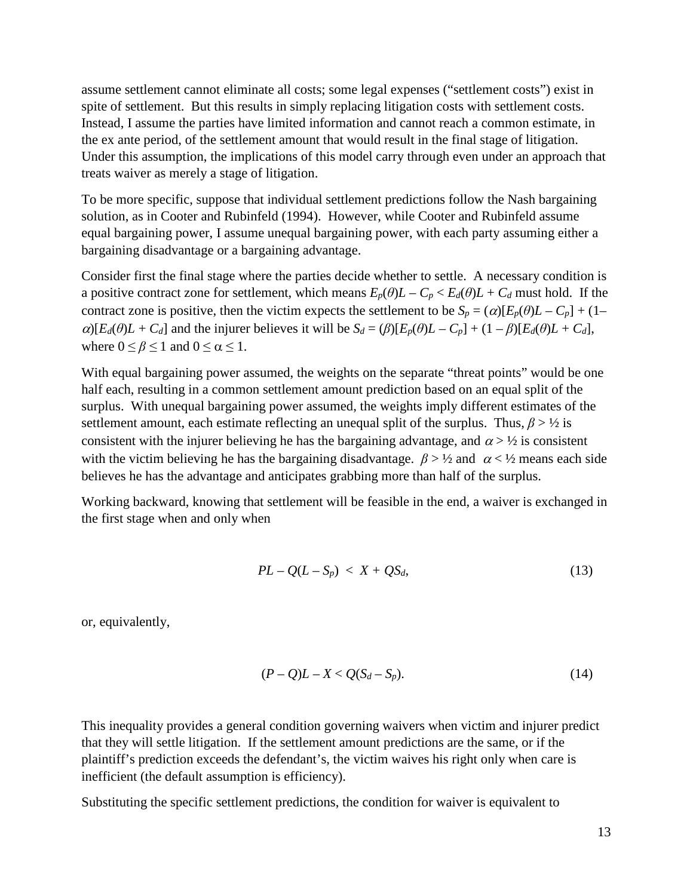assume settlement cannot eliminate all costs; some legal expenses ("settlement costs") exist in spite of settlement. But this results in simply replacing litigation costs with settlement costs. Instead, I assume the parties have limited information and cannot reach a common estimate, in the ex ante period, of the settlement amount that would result in the final stage of litigation. Under this assumption, the implications of this model carry through even under an approach that treats waiver as merely a stage of litigation.

To be more specific, suppose that individual settlement predictions follow the Nash bargaining solution, as in Cooter and Rubinfeld (1994). However, while Cooter and Rubinfeld assume equal bargaining power, I assume unequal bargaining power, with each party assuming either a bargaining disadvantage or a bargaining advantage.

Consider first the final stage where the parties decide whether to settle. A necessary condition is a positive contract zone for settlement, which means  $E_p(\theta)L - C_p < E_d(\theta)L + C_d$  must hold. If the contract zone is positive, then the victim expects the settlement to be  $S_p = (\alpha)[E_p(\theta)L - C_p] + (1-\alpha)E_p(\theta)L$  $\alpha$ [*E<sub>d</sub>*(*θ*)*L* + *C<sub>d</sub>*] and the injurer believes it will be  $S_d = (\beta) [E_p(\theta)L - C_p] + (1 - \beta) [E_d(\theta)L + C_d]$ , where  $0 \le \beta \le 1$  and  $0 \le \alpha \le 1$ .

With equal bargaining power assumed, the weights on the separate "threat points" would be one half each, resulting in a common settlement amount prediction based on an equal split of the surplus. With unequal bargaining power assumed, the weights imply different estimates of the settlement amount, each estimate reflecting an unequal split of the surplus. Thus,  $\beta$  >  $\frac{1}{2}$  is consistent with the injurer believing he has the bargaining advantage, and  $\alpha > \frac{1}{2}$  is consistent with the victim believing he has the bargaining disadvantage.  $\beta > \frac{1}{2}$  and  $\alpha < \frac{1}{2}$  means each side believes he has the advantage and anticipates grabbing more than half of the surplus.

Working backward, knowing that settlement will be feasible in the end, a waiver is exchanged in the first stage when and only when

$$
PL - Q(L - S_p) < X + QS_d,\tag{13}
$$

or, equivalently,

$$
(P-Q)L-X < Q(S_d-S_p). \tag{14}
$$

This inequality provides a general condition governing waivers when victim and injurer predict that they will settle litigation. If the settlement amount predictions are the same, or if the plaintiff's prediction exceeds the defendant's, the victim waives his right only when care is inefficient (the default assumption is efficiency).

Substituting the specific settlement predictions, the condition for waiver is equivalent to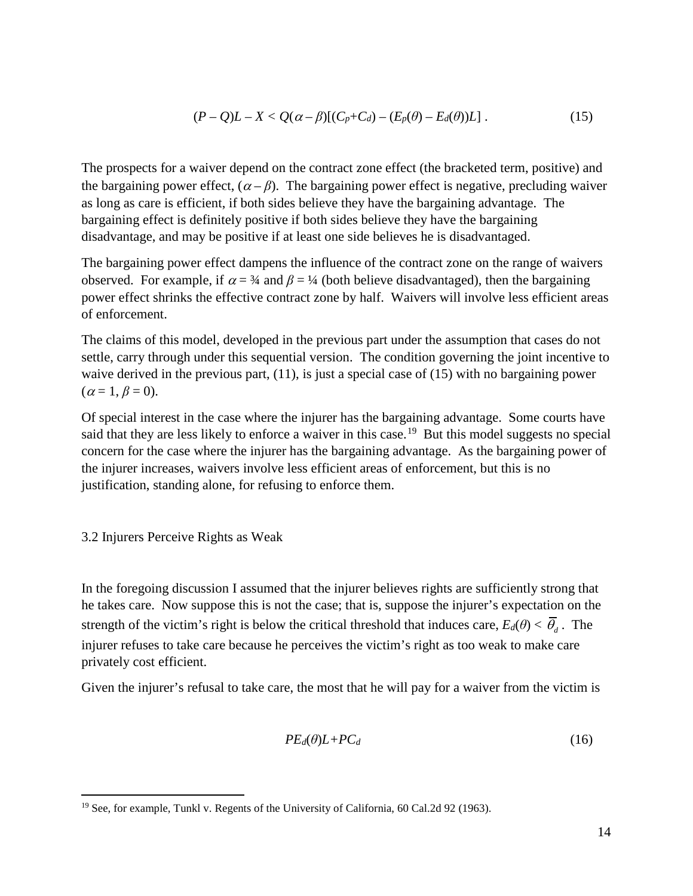$$
(P-Q)L-X
$$

The prospects for a waiver depend on the contract zone effect (the bracketed term, positive) and the bargaining power effect,  $(\alpha - \beta)$ . The bargaining power effect is negative, precluding waiver as long as care is efficient, if both sides believe they have the bargaining advantage. The bargaining effect is definitely positive if both sides believe they have the bargaining disadvantage, and may be positive if at least one side believes he is disadvantaged.

The bargaining power effect dampens the influence of the contract zone on the range of waivers observed. For example, if  $\alpha = 3/4$  and  $\beta = 1/4$  (both believe disadvantaged), then the bargaining power effect shrinks the effective contract zone by half. Waivers will involve less efficient areas of enforcement.

The claims of this model, developed in the previous part under the assumption that cases do not settle, carry through under this sequential version. The condition governing the joint incentive to waive derived in the previous part, (11), is just a special case of (15) with no bargaining power  $(\alpha = 1, \beta = 0).$ 

Of special interest in the case where the injurer has the bargaining advantage. Some courts have said that they are less likely to enforce a waiver in this case.<sup>[19](#page-16-0)</sup> But this model suggests no special concern for the case where the injurer has the bargaining advantage. As the bargaining power of the injurer increases, waivers involve less efficient areas of enforcement, but this is no justification, standing alone, for refusing to enforce them.

3.2 Injurers Perceive Rights as Weak

In the foregoing discussion I assumed that the injurer believes rights are sufficiently strong that he takes care. Now suppose this is not the case; that is, suppose the injurer's expectation on the strength of the victim's right is below the critical threshold that induces care,  $E_d(\theta) < \overline{\theta}_d$ . The injurer refuses to take care because he perceives the victim's right as too weak to make care privately cost efficient.

Given the injurer's refusal to take care, the most that he will pay for a waiver from the victim is

$$
PE_d(\theta)L + PC_d \tag{16}
$$

<span id="page-16-0"></span><sup>&</sup>lt;sup>19</sup> See, for example, Tunkl v. Regents of the University of California, 60 Cal.2d 92 (1963).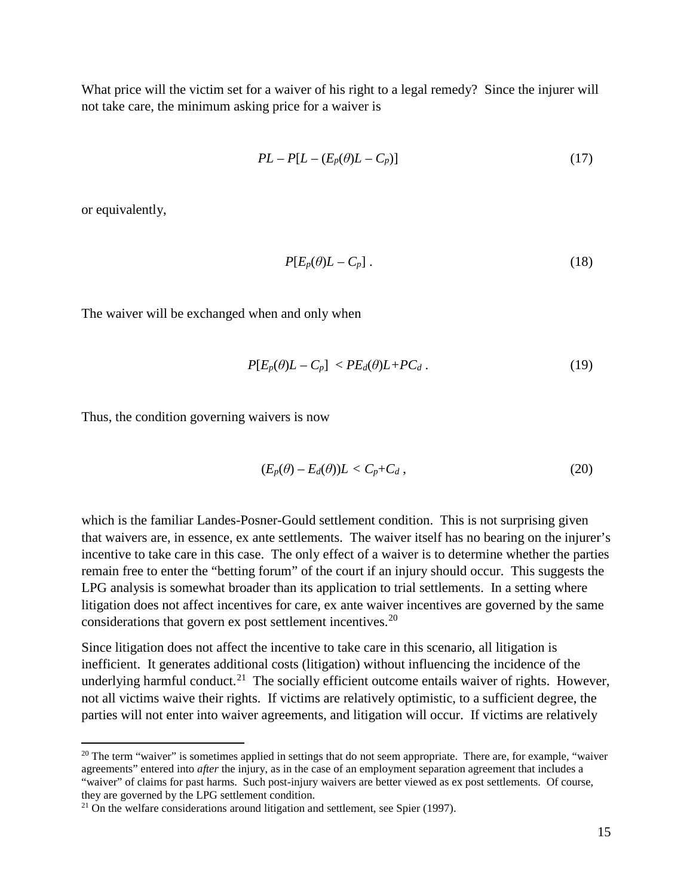What price will the victim set for a waiver of his right to a legal remedy? Since the injurer will not take care, the minimum asking price for a waiver is

$$
PL - P[L - (E_p(\theta)L - C_p)] \tag{17}
$$

or equivalently,

$$
P[E_p(\theta)L - C_p]. \tag{18}
$$

The waiver will be exchanged when and only when

$$
P[E_p(\theta)L - C_p] < PE_d(\theta)L + PC_d \,. \tag{19}
$$

Thus, the condition governing waivers is now

$$
(E_p(\theta) - E_d(\theta))L < C_p + C_d \,,\tag{20}
$$

which is the familiar Landes-Posner-Gould settlement condition. This is not surprising given that waivers are, in essence, ex ante settlements. The waiver itself has no bearing on the injurer's incentive to take care in this case. The only effect of a waiver is to determine whether the parties remain free to enter the "betting forum" of the court if an injury should occur. This suggests the LPG analysis is somewhat broader than its application to trial settlements. In a setting where litigation does not affect incentives for care, ex ante waiver incentives are governed by the same considerations that govern ex post settlement incentives.<sup>[20](#page-17-0)</sup>

Since litigation does not affect the incentive to take care in this scenario, all litigation is inefficient. It generates additional costs (litigation) without influencing the incidence of the underlying harmful conduct.<sup>[21](#page-17-1)</sup> The socially efficient outcome entails waiver of rights. However, not all victims waive their rights. If victims are relatively optimistic, to a sufficient degree, the parties will not enter into waiver agreements, and litigation will occur. If victims are relatively

<span id="page-17-0"></span><sup>&</sup>lt;sup>20</sup> The term "waiver" is sometimes applied in settings that do not seem appropriate. There are, for example, "waiver agreements" entered into *after* the injury, as in the case of an employment separation agreement that includes a "waiver" of claims for past harms. Such post-injury waivers are better viewed as ex post settlements. Of course, they are governed by the LPG settlement condition.

<span id="page-17-1"></span> $21$  On the welfare considerations around litigation and settlement, see Spier (1997).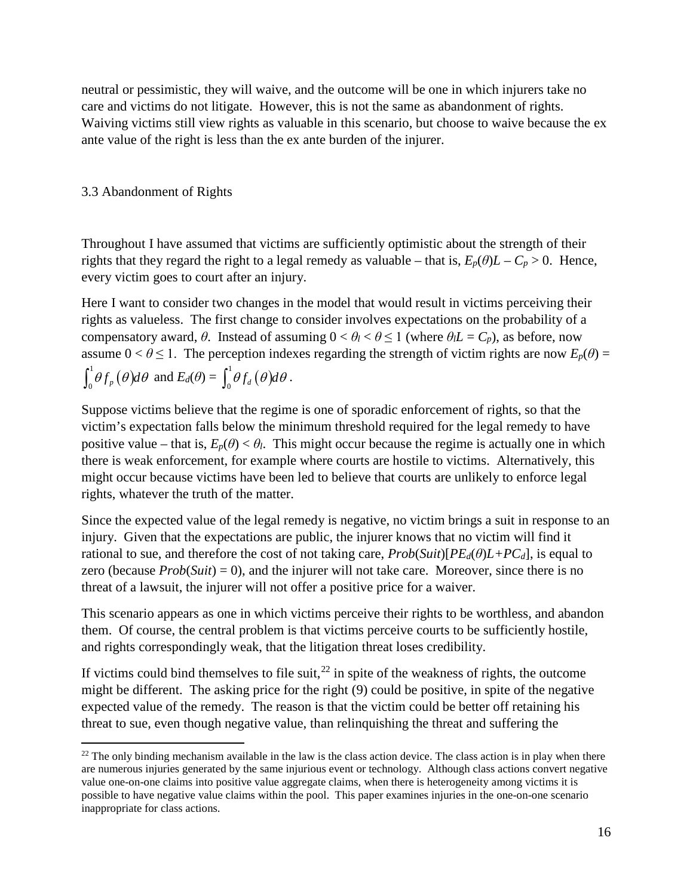neutral or pessimistic, they will waive, and the outcome will be one in which injurers take no care and victims do not litigate. However, this is not the same as abandonment of rights. Waiving victims still view rights as valuable in this scenario, but choose to waive because the ex ante value of the right is less than the ex ante burden of the injurer.

#### 3.3 Abandonment of Rights

Throughout I have assumed that victims are sufficiently optimistic about the strength of their rights that they regard the right to a legal remedy as valuable – that is,  $E_p(\theta)L - C_p > 0$ . Hence, every victim goes to court after an injury.

Here I want to consider two changes in the model that would result in victims perceiving their rights as valueless. The first change to consider involves expectations on the probability of a compensatory award, *θ*. Instead of assuming  $0 < θ<sub>l</sub> < θ \le 1$  (where  $θ<sub>l</sub>L = C_p$ ), as before, now assume  $0 < \theta \le 1$ . The perception indexes regarding the strength of victim rights are now  $E_p(\theta) =$  $\int_0^1 \theta f_p(\theta) d\theta$  and  $E_d(\theta) = \int_0^1 \theta f_d(\theta) d\theta$ .

Suppose victims believe that the regime is one of sporadic enforcement of rights, so that the victim's expectation falls below the minimum threshold required for the legal remedy to have positive value – that is,  $E_p(\theta) < \theta_l$ . This might occur because the regime is actually one in which there is weak enforcement, for example where courts are hostile to victims. Alternatively, this might occur because victims have been led to believe that courts are unlikely to enforce legal rights, whatever the truth of the matter.

Since the expected value of the legal remedy is negative, no victim brings a suit in response to an injury. Given that the expectations are public, the injurer knows that no victim will find it rational to sue, and therefore the cost of not taking care,  $Prob(Suit)[PE_d(\theta)L+PC_d]$ , is equal to zero (because *Prob*(*Suit*) = 0), and the injurer will not take care. Moreover, since there is no threat of a lawsuit, the injurer will not offer a positive price for a waiver.

This scenario appears as one in which victims perceive their rights to be worthless, and abandon them. Of course, the central problem is that victims perceive courts to be sufficiently hostile, and rights correspondingly weak, that the litigation threat loses credibility.

If victims could bind themselves to file suit, $^{22}$  $^{22}$  $^{22}$  in spite of the weakness of rights, the outcome might be different. The asking price for the right (9) could be positive, in spite of the negative expected value of the remedy. The reason is that the victim could be better off retaining his threat to sue, even though negative value, than relinquishing the threat and suffering the

<span id="page-18-0"></span> $22$  The only binding mechanism available in the law is the class action device. The class action is in play when there are numerous injuries generated by the same injurious event or technology. Although class actions convert negative value one-on-one claims into positive value aggregate claims, when there is heterogeneity among victims it is possible to have negative value claims within the pool. This paper examines injuries in the one-on-one scenario inappropriate for class actions.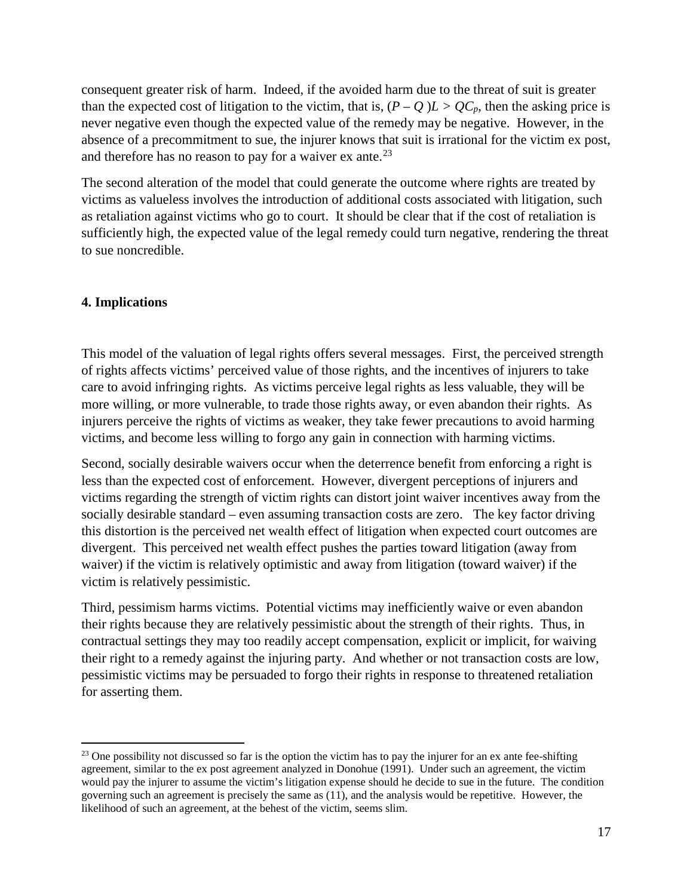consequent greater risk of harm. Indeed, if the avoided harm due to the threat of suit is greater than the expected cost of litigation to the victim, that is,  $(P - Q)L > QC_p$ , then the asking price is never negative even though the expected value of the remedy may be negative. However, in the absence of a precommitment to sue, the injurer knows that suit is irrational for the victim ex post, and therefore has no reason to pay for a waiver  $ex$  ante.<sup>[23](#page-19-0)</sup>

The second alteration of the model that could generate the outcome where rights are treated by victims as valueless involves the introduction of additional costs associated with litigation, such as retaliation against victims who go to court. It should be clear that if the cost of retaliation is sufficiently high, the expected value of the legal remedy could turn negative, rendering the threat to sue noncredible.

#### **4. Implications**

This model of the valuation of legal rights offers several messages. First, the perceived strength of rights affects victims' perceived value of those rights, and the incentives of injurers to take care to avoid infringing rights. As victims perceive legal rights as less valuable, they will be more willing, or more vulnerable, to trade those rights away, or even abandon their rights. As injurers perceive the rights of victims as weaker, they take fewer precautions to avoid harming victims, and become less willing to forgo any gain in connection with harming victims.

Second, socially desirable waivers occur when the deterrence benefit from enforcing a right is less than the expected cost of enforcement. However, divergent perceptions of injurers and victims regarding the strength of victim rights can distort joint waiver incentives away from the socially desirable standard – even assuming transaction costs are zero. The key factor driving this distortion is the perceived net wealth effect of litigation when expected court outcomes are divergent. This perceived net wealth effect pushes the parties toward litigation (away from waiver) if the victim is relatively optimistic and away from litigation (toward waiver) if the victim is relatively pessimistic.

Third, pessimism harms victims. Potential victims may inefficiently waive or even abandon their rights because they are relatively pessimistic about the strength of their rights. Thus, in contractual settings they may too readily accept compensation, explicit or implicit, for waiving their right to a remedy against the injuring party. And whether or not transaction costs are low, pessimistic victims may be persuaded to forgo their rights in response to threatened retaliation for asserting them.

<span id="page-19-0"></span><sup>&</sup>lt;sup>23</sup> One possibility not discussed so far is the option the victim has to pay the injurer for an ex ante fee-shifting agreement, similar to the ex post agreement analyzed in Donohue (1991). Under such an agreement, the victim would pay the injurer to assume the victim's litigation expense should he decide to sue in the future. The condition governing such an agreement is precisely the same as (11), and the analysis would be repetitive. However, the likelihood of such an agreement, at the behest of the victim, seems slim.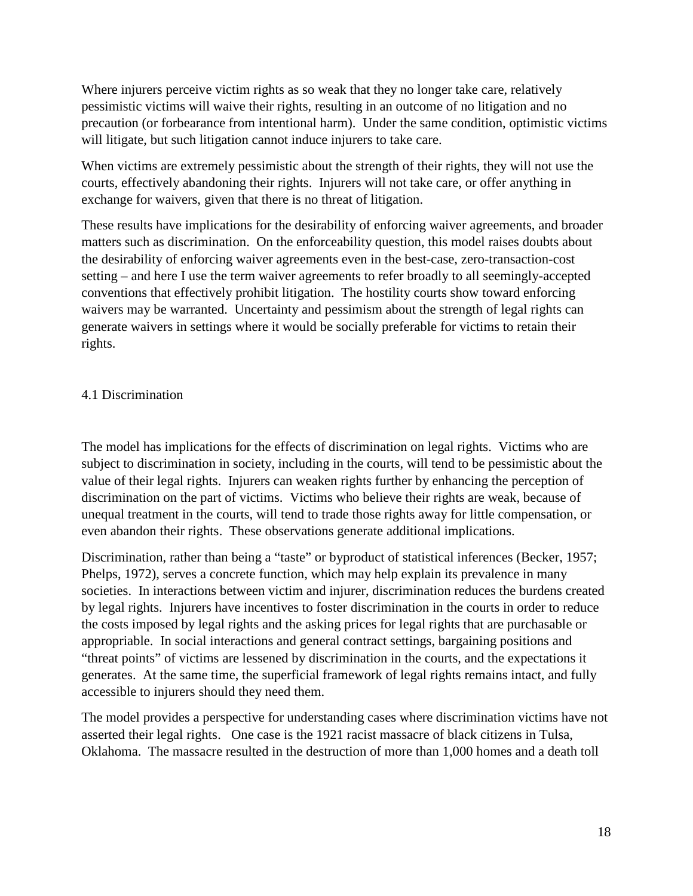Where injurers perceive victim rights as so weak that they no longer take care, relatively pessimistic victims will waive their rights, resulting in an outcome of no litigation and no precaution (or forbearance from intentional harm). Under the same condition, optimistic victims will litigate, but such litigation cannot induce injurers to take care.

When victims are extremely pessimistic about the strength of their rights, they will not use the courts, effectively abandoning their rights. Injurers will not take care, or offer anything in exchange for waivers, given that there is no threat of litigation.

These results have implications for the desirability of enforcing waiver agreements, and broader matters such as discrimination. On the enforceability question, this model raises doubts about the desirability of enforcing waiver agreements even in the best-case, zero-transaction-cost setting – and here I use the term waiver agreements to refer broadly to all seemingly-accepted conventions that effectively prohibit litigation. The hostility courts show toward enforcing waivers may be warranted. Uncertainty and pessimism about the strength of legal rights can generate waivers in settings where it would be socially preferable for victims to retain their rights.

#### 4.1 Discrimination

The model has implications for the effects of discrimination on legal rights. Victims who are subject to discrimination in society, including in the courts, will tend to be pessimistic about the value of their legal rights. Injurers can weaken rights further by enhancing the perception of discrimination on the part of victims. Victims who believe their rights are weak, because of unequal treatment in the courts, will tend to trade those rights away for little compensation, or even abandon their rights. These observations generate additional implications.

Discrimination, rather than being a "taste" or byproduct of statistical inferences (Becker, 1957; Phelps, 1972), serves a concrete function, which may help explain its prevalence in many societies. In interactions between victim and injurer, discrimination reduces the burdens created by legal rights. Injurers have incentives to foster discrimination in the courts in order to reduce the costs imposed by legal rights and the asking prices for legal rights that are purchasable or appropriable. In social interactions and general contract settings, bargaining positions and "threat points" of victims are lessened by discrimination in the courts, and the expectations it generates. At the same time, the superficial framework of legal rights remains intact, and fully accessible to injurers should they need them.

The model provides a perspective for understanding cases where discrimination victims have not asserted their legal rights. One case is the 1921 racist massacre of black citizens in Tulsa, Oklahoma. The massacre resulted in the destruction of more than 1,000 homes and a death toll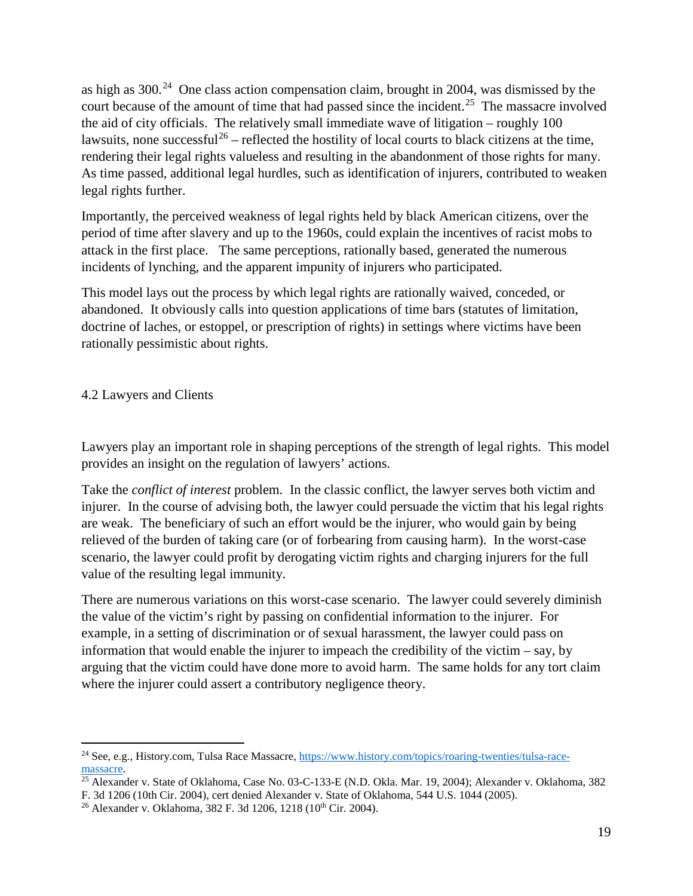as high as  $300<sup>24</sup>$  $300<sup>24</sup>$  $300<sup>24</sup>$  One class action compensation claim, brought in 2004, was dismissed by the court because of the amount of time that had passed since the incident.<sup>25</sup> The massacre involved the aid of city officials. The relatively small immediate wave of litigation – roughly 100 lawsuits, none successful<sup>[26](#page-21-2)</sup> – reflected the hostility of local courts to black citizens at the time, rendering their legal rights valueless and resulting in the abandonment of those rights for many. As time passed, additional legal hurdles, such as identification of injurers, contributed to weaken legal rights further.

Importantly, the perceived weakness of legal rights held by black American citizens, over the period of time after slavery and up to the 1960s, could explain the incentives of racist mobs to attack in the first place. The same perceptions, rationally based, generated the numerous incidents of lynching, and the apparent impunity of injurers who participated.

This model lays out the process by which legal rights are rationally waived, conceded, or abandoned. It obviously calls into question applications of time bars (statutes of limitation, doctrine of laches, or estoppel, or prescription of rights) in settings where victims have been rationally pessimistic about rights.

#### 4.2 Lawyers and Clients

Lawyers play an important role in shaping perceptions of the strength of legal rights. This model provides an insight on the regulation of lawyers' actions.

Take the *conflict of interest* problem. In the classic conflict, the lawyer serves both victim and injurer. In the course of advising both, the lawyer could persuade the victim that his legal rights are weak. The beneficiary of such an effort would be the injurer, who would gain by being relieved of the burden of taking care (or of forbearing from causing harm). In the worst-case scenario, the lawyer could profit by derogating victim rights and charging injurers for the full value of the resulting legal immunity.

There are numerous variations on this worst-case scenario. The lawyer could severely diminish the value of the victim's right by passing on confidential information to the injurer. For example, in a setting of discrimination or of sexual harassment, the lawyer could pass on information that would enable the injurer to impeach the credibility of the victim – say, by arguing that the victim could have done more to avoid harm. The same holds for any tort claim where the injurer could assert a contributory negligence theory.

<span id="page-21-0"></span> <sup>24</sup> See, e.g., History.com, Tulsa Race Massacre, [https://www.history.com/topics/roaring-twenties/tulsa-race](https://www.history.com/topics/roaring-twenties/tulsa-race-massacre)[massacre.](https://www.history.com/topics/roaring-twenties/tulsa-race-massacre)<br><sup>25</sup> Alexander v. State of Oklahoma, Case No. 03-C-133-E (N.D. Okla. Mar. 19, 2004); Alexander v. Oklahoma, 382

<span id="page-21-1"></span>F. 3d 1206 (10th Cir. 2004), cert denied Alexander v. State of Oklahoma, 544 U.S. 1044 (2005).

<span id="page-21-2"></span><sup>&</sup>lt;sup>26</sup> Alexander v. Oklahoma, 382 F. 3d 1206, 1218 (10<sup>th</sup> Cir. 2004).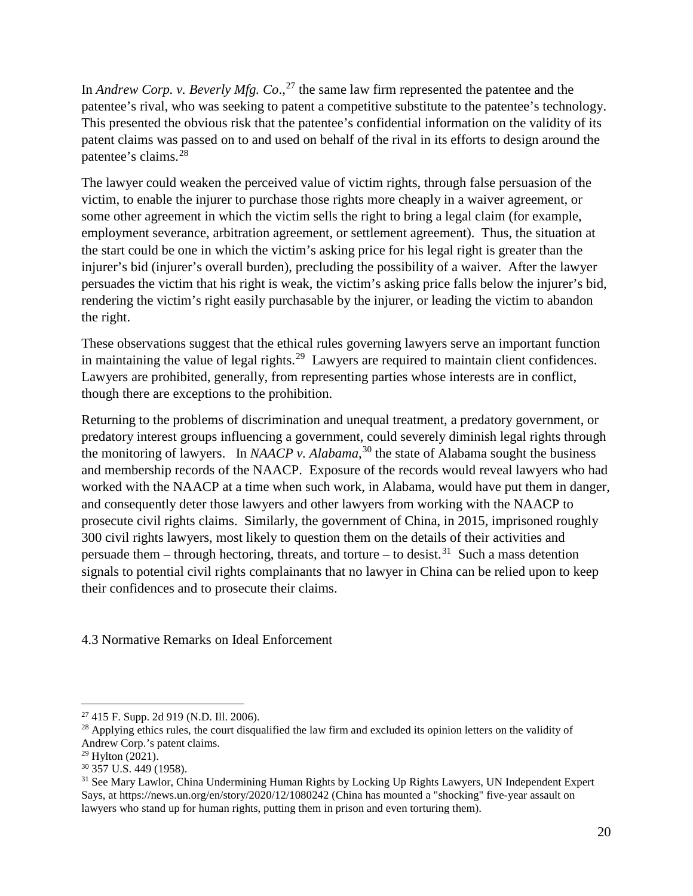In *Andrew Corp. v. Beverly Mfg. Co*., [27](#page-22-0) the same law firm represented the patentee and the patentee's rival, who was seeking to patent a competitive substitute to the patentee's technology. This presented the obvious risk that the patentee's confidential information on the validity of its patent claims was passed on to and used on behalf of the rival in its efforts to design around the patentee's claims.[28](#page-22-1)

The lawyer could weaken the perceived value of victim rights, through false persuasion of the victim, to enable the injurer to purchase those rights more cheaply in a waiver agreement, or some other agreement in which the victim sells the right to bring a legal claim (for example, employment severance, arbitration agreement, or settlement agreement). Thus, the situation at the start could be one in which the victim's asking price for his legal right is greater than the injurer's bid (injurer's overall burden), precluding the possibility of a waiver. After the lawyer persuades the victim that his right is weak, the victim's asking price falls below the injurer's bid, rendering the victim's right easily purchasable by the injurer, or leading the victim to abandon the right.

These observations suggest that the ethical rules governing lawyers serve an important function in maintaining the value of legal rights.<sup>29</sup> Lawyers are required to maintain client confidences. Lawyers are prohibited, generally, from representing parties whose interests are in conflict, though there are exceptions to the prohibition.

Returning to the problems of discrimination and unequal treatment, a predatory government, or predatory interest groups influencing a government, could severely diminish legal rights through the monitoring of lawyers. In *NAACP v. Alabama*, [30](#page-22-3) the state of Alabama sought the business and membership records of the NAACP. Exposure of the records would reveal lawyers who had worked with the NAACP at a time when such work, in Alabama, would have put them in danger, and consequently deter those lawyers and other lawyers from working with the NAACP to prosecute civil rights claims. Similarly, the government of China, in 2015, imprisoned roughly 300 civil rights lawyers, most likely to question them on the details of their activities and persuade them – through hectoring, threats, and torture – to desist.<sup>31</sup> Such a mass detention signals to potential civil rights complainants that no lawyer in China can be relied upon to keep their confidences and to prosecute their claims.

4.3 Normative Remarks on Ideal Enforcement

<span id="page-22-0"></span> <sup>27</sup> 415 F. Supp. 2d 919 (N.D. Ill. 2006).

<span id="page-22-1"></span> $^{28}$  Applying ethics rules, the court disqualified the law firm and excluded its opinion letters on the validity of Andrew Corp.'s patent claims.

<span id="page-22-3"></span><span id="page-22-2"></span> $29$  Hylton (2021).

<sup>30</sup> 357 U.S. 449 (1958).

<span id="page-22-4"></span><sup>&</sup>lt;sup>31</sup> See Mary Lawlor, China Undermining Human Rights by Locking Up Rights Lawyers, UN Independent Expert Says, at https://news.un.org/en/story/2020/12/1080242 (China has mounted a "shocking" five-year assault on lawyers who stand up for human rights, putting them in prison and even torturing them).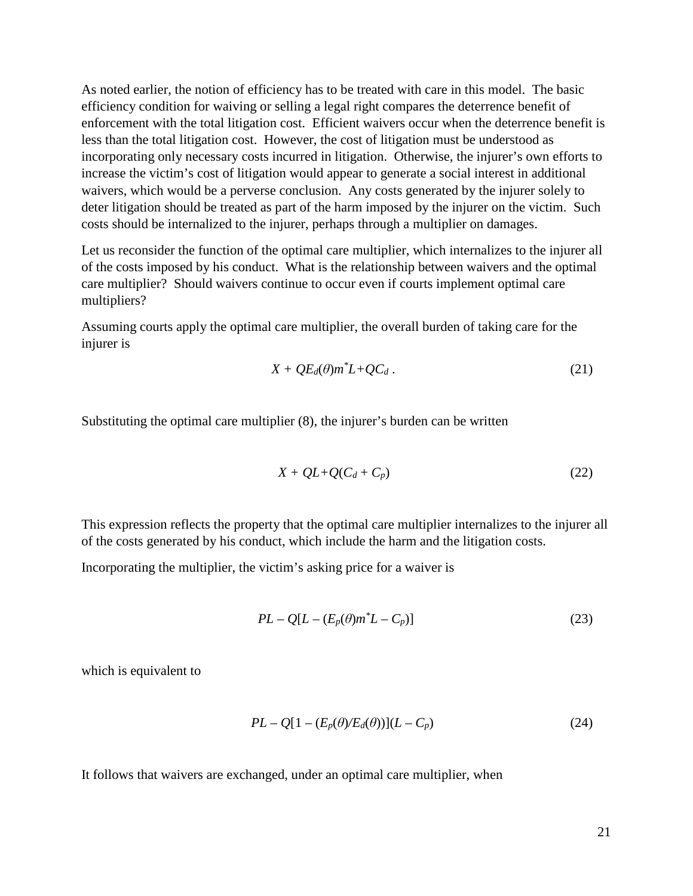As noted earlier, the notion of efficiency has to be treated with care in this model. The basic efficiency condition for waiving or selling a legal right compares the deterrence benefit of enforcement with the total litigation cost. Efficient waivers occur when the deterrence benefit is less than the total litigation cost. However, the cost of litigation must be understood as incorporating only necessary costs incurred in litigation. Otherwise, the injurer's own efforts to increase the victim's cost of litigation would appear to generate a social interest in additional waivers, which would be a perverse conclusion. Any costs generated by the injurer solely to deter litigation should be treated as part of the harm imposed by the injurer on the victim. Such costs should be internalized to the injurer, perhaps through a multiplier on damages.

Let us reconsider the function of the optimal care multiplier, which internalizes to the injurer all of the costs imposed by his conduct. What is the relationship between waivers and the optimal care multiplier? Should waivers continue to occur even if courts implement optimal care multipliers?

Assuming courts apply the optimal care multiplier, the overall burden of taking care for the injurer is

$$
X + QE_d(\theta)m^*L + QC_d.
$$
 (21)

Substituting the optimal care multiplier (8), the injurer's burden can be written

$$
X + QL + Q(C_d + C_p) \tag{22}
$$

This expression reflects the property that the optimal care multiplier internalizes to the injurer all of the costs generated by his conduct, which include the harm and the litigation costs.

Incorporating the multiplier, the victim's asking price for a waiver is

$$
PL - Q[L - (E_p(\theta)m^*L - C_p)] \tag{23}
$$

which is equivalent to

$$
PL - Q[1 - (E_p(\theta)/E_d(\theta))](L - C_p) \tag{24}
$$

It follows that waivers are exchanged, under an optimal care multiplier, when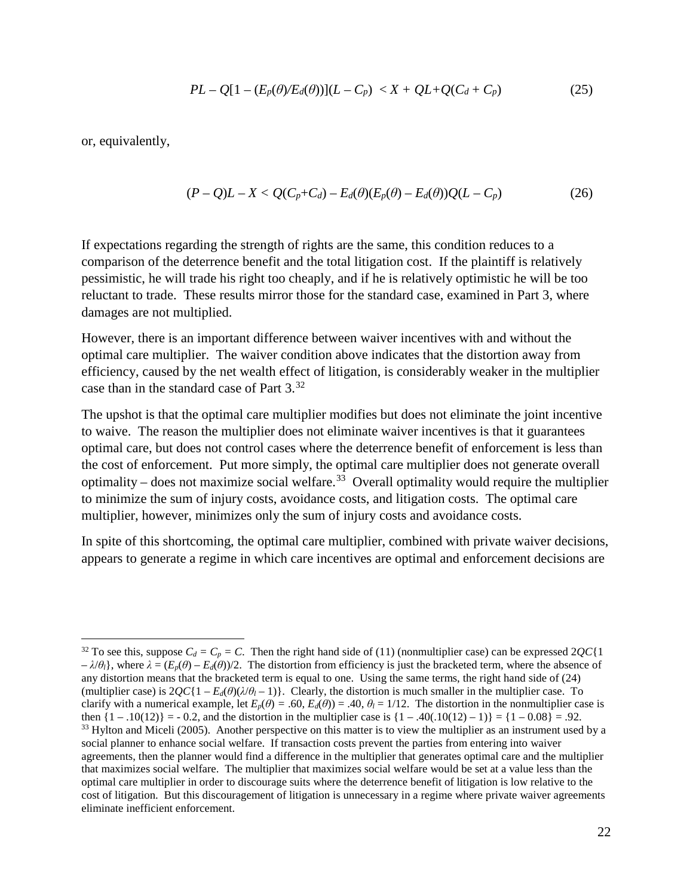$$
PL - Q[1 - (E_p(\theta)/E_d(\theta))](L - C_p) < X + QL + Q(C_d + C_p) \tag{25}
$$

or, equivalently,

$$
(P-Q)L-X\n(26)
$$

If expectations regarding the strength of rights are the same, this condition reduces to a comparison of the deterrence benefit and the total litigation cost. If the plaintiff is relatively pessimistic, he will trade his right too cheaply, and if he is relatively optimistic he will be too reluctant to trade. These results mirror those for the standard case, examined in Part 3, where damages are not multiplied.

However, there is an important difference between waiver incentives with and without the optimal care multiplier. The waiver condition above indicates that the distortion away from efficiency, caused by the net wealth effect of litigation, is considerably weaker in the multiplier case than in the standard case of Part 3.[32](#page-24-0)

The upshot is that the optimal care multiplier modifies but does not eliminate the joint incentive to waive. The reason the multiplier does not eliminate waiver incentives is that it guarantees optimal care, but does not control cases where the deterrence benefit of enforcement is less than the cost of enforcement. Put more simply, the optimal care multiplier does not generate overall optimality – does not maximize social welfare.<sup>33</sup> Overall optimality would require the multiplier to minimize the sum of injury costs, avoidance costs, and litigation costs. The optimal care multiplier, however, minimizes only the sum of injury costs and avoidance costs.

In spite of this shortcoming, the optimal care multiplier, combined with private waiver decisions, appears to generate a regime in which care incentives are optimal and enforcement decisions are

<span id="page-24-1"></span><span id="page-24-0"></span><sup>&</sup>lt;sup>32</sup> To see this, suppose  $C_d = C_p = C$ . Then the right hand side of (11) (nonmultiplier case) can be expressed  $2QC\{1$  $-\lambda/\theta_l$ , where  $\lambda = (E_p(\theta) - E_d(\theta))/2$ . The distortion from efficiency is just the bracketed term, where the absence of any distortion means that the bracketed term is equal to one. Using the same terms, the right hand side of (24) (multiplier case) is  $2QC\{1 - E_d(\theta)(\lambda/\theta_l - 1)\}$ . Clearly, the distortion is much smaller in the multiplier case. To clarify with a numerical example, let  $E_p(\theta) = .60$ ,  $E_d(\theta) = .40$ ,  $\theta_l = 1/12$ . The distortion in the nonmultiplier case is then  $\{1 - .10(12)\} = -0.2$ , and the distortion in the multiplier case is  $\{1 - .40(.10(12) - 1)\} = \{1 - 0.08\} = .92$ .  $33$  Hylton and Miceli (2005). Another perspective on this matter is to view the multiplier as an instrument used by a social planner to enhance social welfare. If transaction costs prevent the parties from entering into waiver agreements, then the planner would find a difference in the multiplier that generates optimal care and the multiplier that maximizes social welfare. The multiplier that maximizes social welfare would be set at a value less than the optimal care multiplier in order to discourage suits where the deterrence benefit of litigation is low relative to the cost of litigation. But this discouragement of litigation is unnecessary in a regime where private waiver agreements eliminate inefficient enforcement.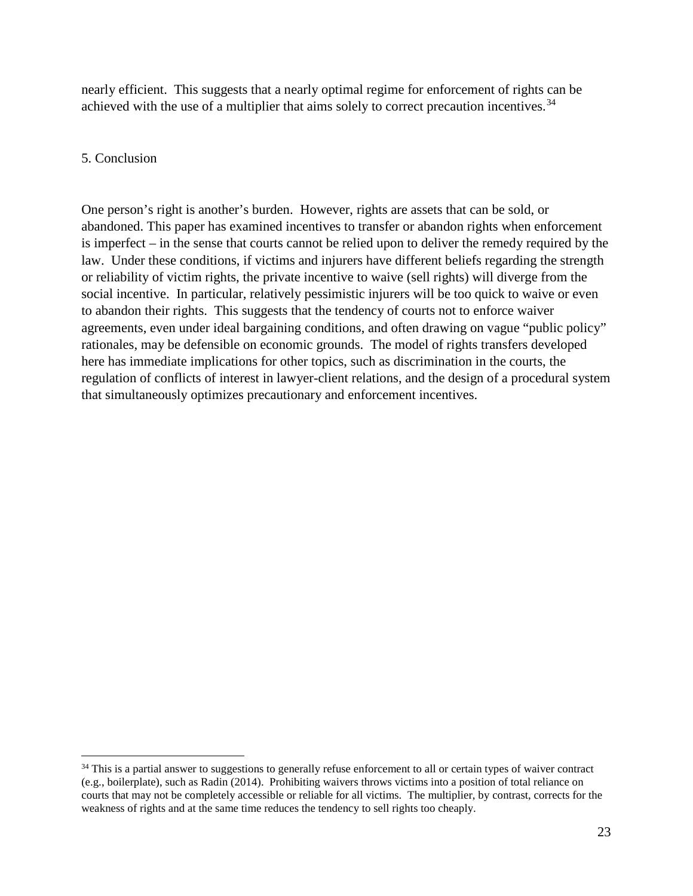nearly efficient. This suggests that a nearly optimal regime for enforcement of rights can be achieved with the use of a multiplier that aims solely to correct precaution incentives.<sup>[34](#page-25-0)</sup>

#### 5. Conclusion

One person's right is another's burden. However, rights are assets that can be sold, or abandoned. This paper has examined incentives to transfer or abandon rights when enforcement is imperfect – in the sense that courts cannot be relied upon to deliver the remedy required by the law. Under these conditions, if victims and injurers have different beliefs regarding the strength or reliability of victim rights, the private incentive to waive (sell rights) will diverge from the social incentive. In particular, relatively pessimistic injurers will be too quick to waive or even to abandon their rights. This suggests that the tendency of courts not to enforce waiver agreements, even under ideal bargaining conditions, and often drawing on vague "public policy" rationales, may be defensible on economic grounds. The model of rights transfers developed here has immediate implications for other topics, such as discrimination in the courts, the regulation of conflicts of interest in lawyer-client relations, and the design of a procedural system that simultaneously optimizes precautionary and enforcement incentives.

<span id="page-25-0"></span><sup>&</sup>lt;sup>34</sup> This is a partial answer to suggestions to generally refuse enforcement to all or certain types of waiver contract (e.g., boilerplate), such as Radin (2014). Prohibiting waivers throws victims into a position of total reliance on courts that may not be completely accessible or reliable for all victims. The multiplier, by contrast, corrects for the weakness of rights and at the same time reduces the tendency to sell rights too cheaply.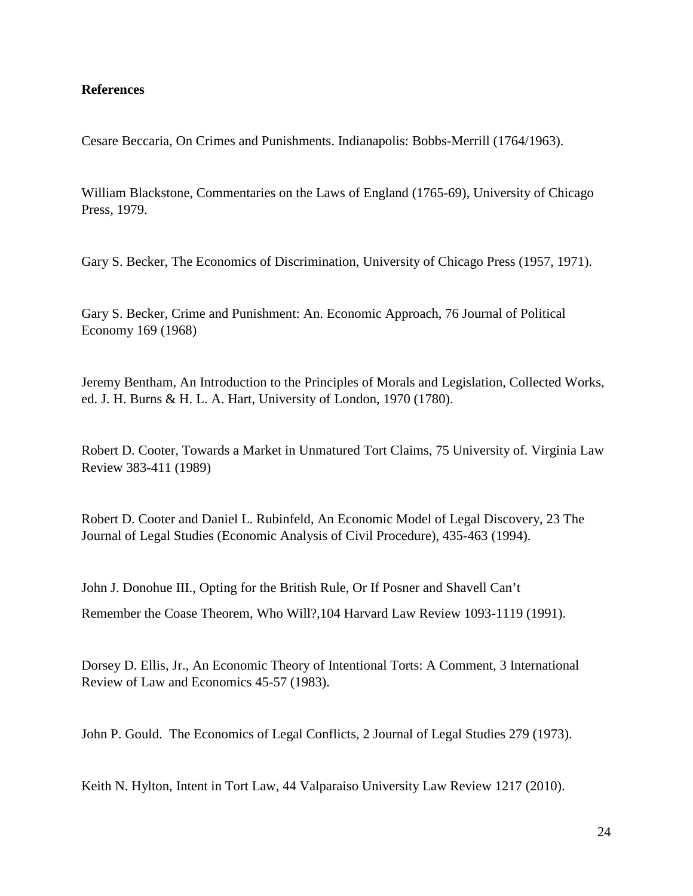#### **References**

Cesare Beccaria, On Crimes and Punishments. Indianapolis: Bobbs-Merrill (1764/1963).

William Blackstone, Commentaries on the Laws of England (1765-69), University of Chicago Press, 1979.

Gary S. Becker, The Economics of Discrimination, University of Chicago Press (1957, 1971).

Gary S. Becker, Crime and Punishment: An. Economic Approach, 76 Journal of Political Economy 169 (1968)

Jeremy Bentham, An Introduction to the Principles of Morals and Legislation, Collected Works, ed. J. H. Burns & H. L. A. Hart, University of London, 1970 (1780).

Robert D. Cooter, Towards a Market in Unmatured Tort Claims, 75 University of. Virginia Law Review 383-411 (1989)

Robert D. Cooter and Daniel L. Rubinfeld, An Economic Model of Legal Discovery, 23 The Journal of Legal Studies (Economic Analysis of Civil Procedure), 435-463 (1994).

John J. Donohue III., Opting for the British Rule, Or If Posner and Shavell Can't Remember the Coase Theorem, Who Will?,104 Harvard Law Review 1093-1119 (1991).

Dorsey D. Ellis, Jr., An Economic Theory of Intentional Torts: A Comment, 3 International Review of Law and Economics 45-57 (1983).

John P. Gould. The Economics of Legal Conflicts, 2 Journal of Legal Studies 279 (1973).

Keith N. Hylton, Intent in Tort Law, 44 Valparaiso University Law Review 1217 (2010).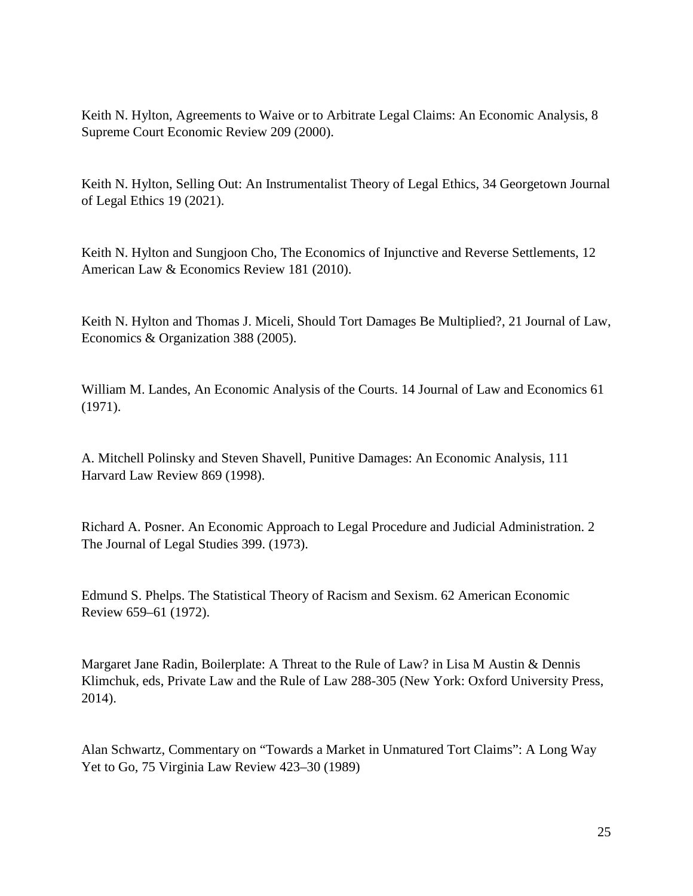Keith N. Hylton, Agreements to Waive or to Arbitrate Legal Claims: An Economic Analysis, 8 Supreme Court Economic Review 209 (2000).

Keith N. Hylton, Selling Out: An Instrumentalist Theory of Legal Ethics, 34 Georgetown Journal of Legal Ethics 19 (2021).

Keith N. Hylton and Sungjoon Cho, The Economics of Injunctive and Reverse Settlements, 12 American Law & Economics Review 181 (2010).

Keith N. Hylton and Thomas J. Miceli, Should Tort Damages Be Multiplied?, 21 Journal of Law, Economics & Organization 388 (2005).

William M. Landes, An Economic Analysis of the Courts. 14 Journal of Law and Economics 61 (1971).

A. Mitchell Polinsky and Steven Shavell, Punitive Damages: An Economic Analysis, 111 Harvard Law Review 869 (1998).

Richard A. Posner. An Economic Approach to Legal Procedure and Judicial Administration. 2 The Journal of Legal Studies 399. (1973).

Edmund S. Phelps. The Statistical Theory of Racism and Sexism. 62 American Economic Review 659–61 (1972).

Margaret Jane Radin, Boilerplate: A Threat to the Rule of Law? in Lisa M Austin & Dennis Klimchuk, eds, Private Law and the Rule of Law 288-305 (New York: Oxford University Press, 2014).

Alan Schwartz, Commentary on "Towards a Market in Unmatured Tort Claims": A Long Way Yet to Go, 75 Virginia Law Review 423–30 (1989)